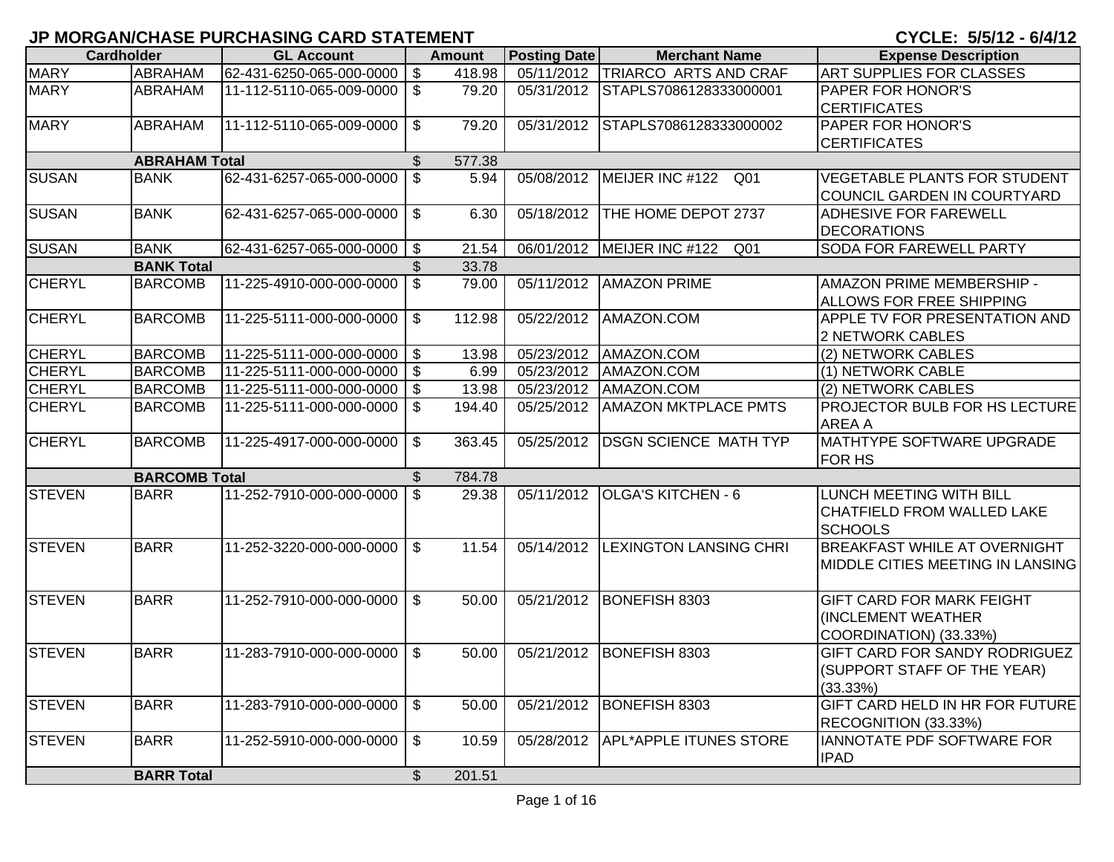| <b>Cardholder</b> |                      | <b>GL Account</b>        |                           | <b>Amount</b> | <b>Posting Date</b>     | <b>Merchant Name</b>             | <b>Expense Description</b>                                                               |
|-------------------|----------------------|--------------------------|---------------------------|---------------|-------------------------|----------------------------------|------------------------------------------------------------------------------------------|
| <b>MARY</b>       | <b>ABRAHAM</b>       | 62-431-6250-065-000-0000 | $\boldsymbol{\mathsf{S}}$ | 418.98        |                         | 05/11/2012 TRIARCO ARTS AND CRAF | <b>ART SUPPLIES FOR CLASSES</b>                                                          |
| <b>MARY</b>       | ABRAHAM              | 11-112-5110-065-009-0000 | $\mathfrak{S}$            | 79.20         | 05/31/2012              | STAPLS7086128333000001           | <b>PAPER FOR HONOR'S</b><br><b>CERTIFICATES</b>                                          |
| <b>MARY</b>       | ABRAHAM              | 11-112-5110-065-009-0000 | $\mathfrak{S}$            | 79.20         | 05/31/2012              | STAPLS7086128333000002           | <b>PAPER FOR HONOR'S</b><br><b>CERTIFICATES</b>                                          |
|                   | <b>ABRAHAM Total</b> |                          | $\frac{1}{2}$             | 577.38        |                         |                                  |                                                                                          |
| <b>SUSAN</b>      | <b>BANK</b>          | 62-431-6257-065-000-0000 | $\mathbb{S}$              | 5.94          | 05/08/2012              | MEIJER INC #122 Q01              | <b>VEGETABLE PLANTS FOR STUDENT</b><br>COUNCIL GARDEN IN COURTYARD                       |
| <b>SUSAN</b>      | <b>BANK</b>          | 62-431-6257-065-000-0000 | $\mathfrak{S}$            | 6.30          | 05/18/2012              | THE HOME DEPOT 2737              | <b>ADHESIVE FOR FAREWELL</b><br><b>DECORATIONS</b>                                       |
| <b>SUSAN</b>      | <b>BANK</b>          | 62-431-6257-065-000-0000 | $\frac{1}{2}$             | 21.54         | 06/01/2012              | MEIJER INC #122<br>Q01           | SODA FOR FAREWELL PARTY                                                                  |
|                   | <b>BANK Total</b>    |                          | $\mathbb{S}$              | 33.78         |                         |                                  |                                                                                          |
| <b>CHERYL</b>     | <b>BARCOMB</b>       | 11-225-4910-000-000-0000 | $\mathsf{\$}$             | 79.00         | 05/11/2012              | <b>AMAZON PRIME</b>              | AMAZON PRIME MEMBERSHIP -<br><b>ALLOWS FOR FREE SHIPPING</b>                             |
| <b>CHERYL</b>     | <b>BARCOMB</b>       | 11-225-5111-000-000-0000 | $\mathfrak{S}$            | 112.98        | 05/22/2012              | AMAZON.COM                       | <b>APPLE TV FOR PRESENTATION AND</b><br>2 NETWORK CABLES                                 |
| <b>CHERYL</b>     | <b>BARCOMB</b>       | 11-225-5111-000-000-0000 | $\boldsymbol{\mathsf{S}}$ | 13.98         | 05/23/2012              | AMAZON.COM                       | (2) NETWORK CABLES                                                                       |
| <b>CHERYL</b>     | <b>BARCOMB</b>       | 11-225-5111-000-000-0000 | $\bullet$                 | 6.99          | 05/23/2012              | AMAZON.COM                       | (1) NETWORK CABLE                                                                        |
| <b>CHERYL</b>     | <b>BARCOMB</b>       | 11-225-5111-000-000-0000 | $\boldsymbol{\mathsf{s}}$ | 13.98         | 05/23/2012              | AMAZON.COM                       | (2) NETWORK CABLES                                                                       |
| <b>CHERYL</b>     | <b>BARCOMB</b>       | 11-225-5111-000-000-0000 | $\mathfrak{S}$            | 194.40        | 05/25/2012              | <b>AMAZON MKTPLACE PMTS</b>      | <b>PROJECTOR BULB FOR HS LECTURE</b><br><b>AREA A</b>                                    |
| <b>CHERYL</b>     | <b>BARCOMB</b>       | 11-225-4917-000-000-0000 | $\mathfrak{S}$            | 363.45        | 05/25/2012              | <b>DSGN SCIENCE MATH TYP</b>     | <b>MATHTYPE SOFTWARE UPGRADE</b><br><b>FOR HS</b>                                        |
|                   | <b>BARCOMB Total</b> |                          | \$                        | 784.78        |                         |                                  |                                                                                          |
| <b>STEVEN</b>     | <b>BARR</b>          | 11-252-7910-000-000-0000 | $\mathfrak{S}$            | 29.38         | 05/11/2012              | <b>OLGA'S KITCHEN - 6</b>        | LUNCH MEETING WITH BILL<br><b>CHATFIELD FROM WALLED LAKE</b><br><b>SCHOOLS</b>           |
| <b>STEVEN</b>     | <b>BARR</b>          | 11-252-3220-000-000-0000 | \$                        | 11.54         | 05/14/2012              | <b>LEXINGTON LANSING CHRI</b>    | <b>BREAKFAST WHILE AT OVERNIGHT</b><br>MIDDLE CITIES MEETING IN LANSING                  |
| <b>STEVEN</b>     | <b>BARR</b>          | 11-252-7910-000-000-0000 | $\mathfrak{L}$            | 50.00         | $\overline{05/21}/2012$ | BONEFISH 8303                    | <b>GIFT CARD FOR MARK FEIGHT</b><br><b>(INCLEMENT WEATHER)</b><br>COORDINATION) (33.33%) |
| <b>STEVEN</b>     | <b>BARR</b>          | 11-283-7910-000-000-0000 | \$                        | 50.00         | 05/21/2012              | BONEFISH 8303                    | <b>GIFT CARD FOR SANDY RODRIGUEZ</b><br>(SUPPORT STAFF OF THE YEAR)<br>(33.33%)          |
| <b>STEVEN</b>     | <b>BARR</b>          | 11-283-7910-000-000-0000 | $\boldsymbol{\mathsf{S}}$ | 50.00         | 05/21/2012              | BONEFISH 8303                    | GIFT CARD HELD IN HR FOR FUTURE<br>RECOGNITION (33.33%)                                  |
| <b>STEVEN</b>     | <b>BARR</b>          | 11-252-5910-000-000-0000 | $\mathfrak{S}$            | 10.59         | 05/28/2012              | APL*APPLE ITUNES STORE           | IANNOTATE PDF SOFTWARE FOR<br><b>IPAD</b>                                                |
|                   | <b>BARR Total</b>    |                          | $\mathfrak{S}$            | 201.51        |                         |                                  |                                                                                          |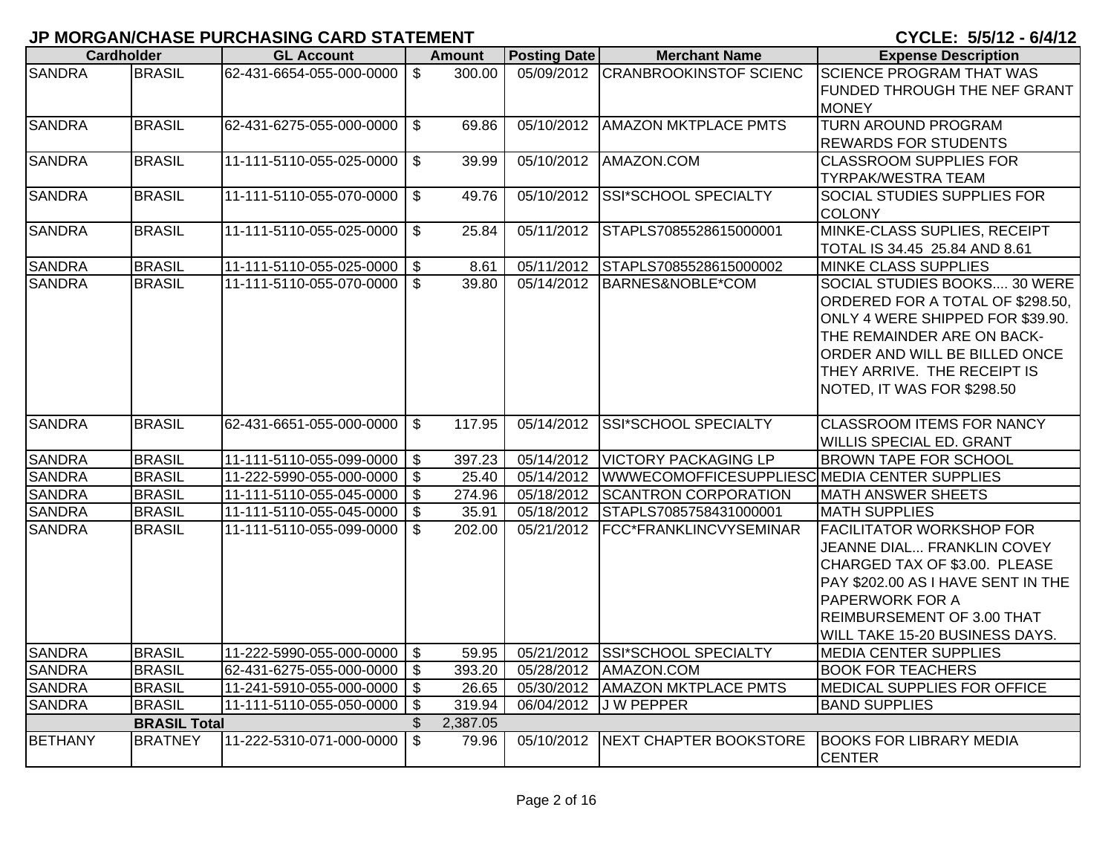|                | <b>Cardholder</b>   | <b>GL Account</b>           |                           | <b>Amount</b> | <b>Posting Date</b> | <b>Merchant Name</b>                         | <b>Expense Description</b>                                                                                                                                                                                                       |
|----------------|---------------------|-----------------------------|---------------------------|---------------|---------------------|----------------------------------------------|----------------------------------------------------------------------------------------------------------------------------------------------------------------------------------------------------------------------------------|
| <b>SANDRA</b>  | <b>BRASIL</b>       | 62-431-6654-055-000-0000    | $\mathfrak{S}$            | 300.00        |                     | 05/09/2012 CRANBROOKINSTOF SCIENC            | <b>SCIENCE PROGRAM THAT WAS</b><br>FUNDED THROUGH THE NEF GRANT<br><b>MONEY</b>                                                                                                                                                  |
| <b>SANDRA</b>  | <b>BRASIL</b>       | 62-431-6275-055-000-0000    | $\mathfrak{L}$            | 69.86         | 05/10/2012          | <b>AMAZON MKTPLACE PMTS</b>                  | <b>TURN AROUND PROGRAM</b><br><b>REWARDS FOR STUDENTS</b>                                                                                                                                                                        |
| <b>SANDRA</b>  | <b>BRASIL</b>       | 11-111-5110-055-025-0000    | $\mathfrak{L}$            | 39.99         | 05/10/2012          | AMAZON.COM                                   | <b>CLASSROOM SUPPLIES FOR</b><br><b>TYRPAK/WESTRA TEAM</b>                                                                                                                                                                       |
| <b>SANDRA</b>  | <b>BRASIL</b>       | 11-111-5110-055-070-0000    | $\mathfrak{L}$            | 49.76         | 05/10/2012          | SSI*SCHOOL SPECIALTY                         | <b>SOCIAL STUDIES SUPPLIES FOR</b><br><b>COLONY</b>                                                                                                                                                                              |
| <b>SANDRA</b>  | <b>BRASIL</b>       | 11-111-5110-055-025-0000    | \$                        | 25.84         | 05/11/2012          | STAPLS7085528615000001                       | MINKE-CLASS SUPLIES, RECEIPT<br>TOTAL IS 34.45 25.84 AND 8.61                                                                                                                                                                    |
| <b>SANDRA</b>  | <b>BRASIL</b>       | 11-111-5110-055-025-0000    | \$                        | 8.61          | 05/11/2012          | STAPLS7085528615000002                       | MINKE CLASS SUPPLIES                                                                                                                                                                                                             |
| <b>SANDRA</b>  | <b>BRASIL</b>       | 11-111-5110-055-070-0000    | $\mathfrak{S}$            | 39.80         | 05/14/2012          | BARNES&NOBLE*COM                             | SOCIAL STUDIES BOOKS 30 WERE<br>ORDERED FOR A TOTAL OF \$298.50,<br>ONLY 4 WERE SHIPPED FOR \$39.90.<br>THE REMAINDER ARE ON BACK-<br>ORDER AND WILL BE BILLED ONCE<br>THEY ARRIVE. THE RECEIPT IS<br>NOTED, IT WAS FOR \$298.50 |
| <b>SANDRA</b>  | <b>BRASIL</b>       | 62-431-6651-055-000-0000    | \$                        | 117.95        | 05/14/2012          | <b>SSI*SCHOOL SPECIALTY</b>                  | <b>CLASSROOM ITEMS FOR NANCY</b><br>WILLIS SPECIAL ED. GRANT                                                                                                                                                                     |
| <b>SANDRA</b>  | <b>BRASIL</b>       | 11-111-5110-055-099-0000    | \$                        | 397.23        | 05/14/2012          | <b>VICTORY PACKAGING LP</b>                  | <b>BROWN TAPE FOR SCHOOL</b>                                                                                                                                                                                                     |
| <b>SANDRA</b>  | <b>BRASIL</b>       | 11-222-5990-055-000-0000    | $\overline{\mathfrak{s}}$ | 25.40         | 05/14/2012          | WWWECOMOFFICESUPPLIESC MEDIA CENTER SUPPLIES |                                                                                                                                                                                                                                  |
| <b>SANDRA</b>  | <b>BRASIL</b>       | 11-111-5110-055-045-0000    | $\boldsymbol{\mathsf{S}}$ | 274.96        | 05/18/2012          | <b>SCANTRON CORPORATION</b>                  | <b>MATH ANSWER SHEETS</b>                                                                                                                                                                                                        |
| <b>SANDRA</b>  | <b>BRASIL</b>       | 11-111-5110-055-045-0000    | $\sqrt[6]{\frac{1}{2}}$   | 35.91         | 05/18/2012          | STAPLS7085758431000001                       | <b>MATH SUPPLIES</b>                                                                                                                                                                                                             |
| <b>SANDRA</b>  | <b>BRASIL</b>       | 11-111-5110-055-099-0000    | $\mathbb{S}$              | 202.00        | 05/21/2012          | FCC*FRANKLINCVYSEMINAR                       | <b>FACILITATOR WORKSHOP FOR</b><br>JEANNE DIAL FRANKLIN COVEY<br>CHARGED TAX OF \$3.00. PLEASE<br>PAY \$202.00 AS I HAVE SENT IN THE<br>PAPERWORK FOR A<br>REIMBURSEMENT OF 3.00 THAT<br>WILL TAKE 15-20 BUSINESS DAYS.          |
| <b>SANDRA</b>  | <b>BRASIL</b>       | 11-222-5990-055-000-0000 \$ |                           | 59.95         | 05/21/2012          | SSI*SCHOOL SPECIALTY                         | <b>MEDIA CENTER SUPPLIES</b>                                                                                                                                                                                                     |
| <b>SANDRA</b>  | <b>BRASIL</b>       | 62-431-6275-055-000-0000    | $\overline{\mathfrak{s}}$ | 393.20        | 05/28/2012          | AMAZON.COM                                   | <b>BOOK FOR TEACHERS</b>                                                                                                                                                                                                         |
| <b>SANDRA</b>  | <b>BRASIL</b>       | 11-241-5910-055-000-0000    | $\boldsymbol{\mathsf{S}}$ | 26.65         | 05/30/2012          | <b>AMAZON MKTPLACE PMTS</b>                  | MEDICAL SUPPLIES FOR OFFICE                                                                                                                                                                                                      |
| <b>SANDRA</b>  | <b>BRASIL</b>       | 11-111-5110-055-050-0000    | $\boldsymbol{\mathsf{S}}$ | 319.94        | 06/04/2012          | <b>JWPEPPER</b>                              | <b>BAND SUPPLIES</b>                                                                                                                                                                                                             |
|                | <b>BRASIL Total</b> |                             | $\mathfrak{L}$            | 2,387.05      |                     |                                              |                                                                                                                                                                                                                                  |
| <b>BETHANY</b> | <b>BRATNEY</b>      | 11-222-5310-071-000-0000    | $\mathfrak{L}$            | 79.96         |                     | 05/10/2012 NEXT CHAPTER BOOKSTORE            | <b>BOOKS FOR LIBRARY MEDIA</b><br><b>CENTER</b>                                                                                                                                                                                  |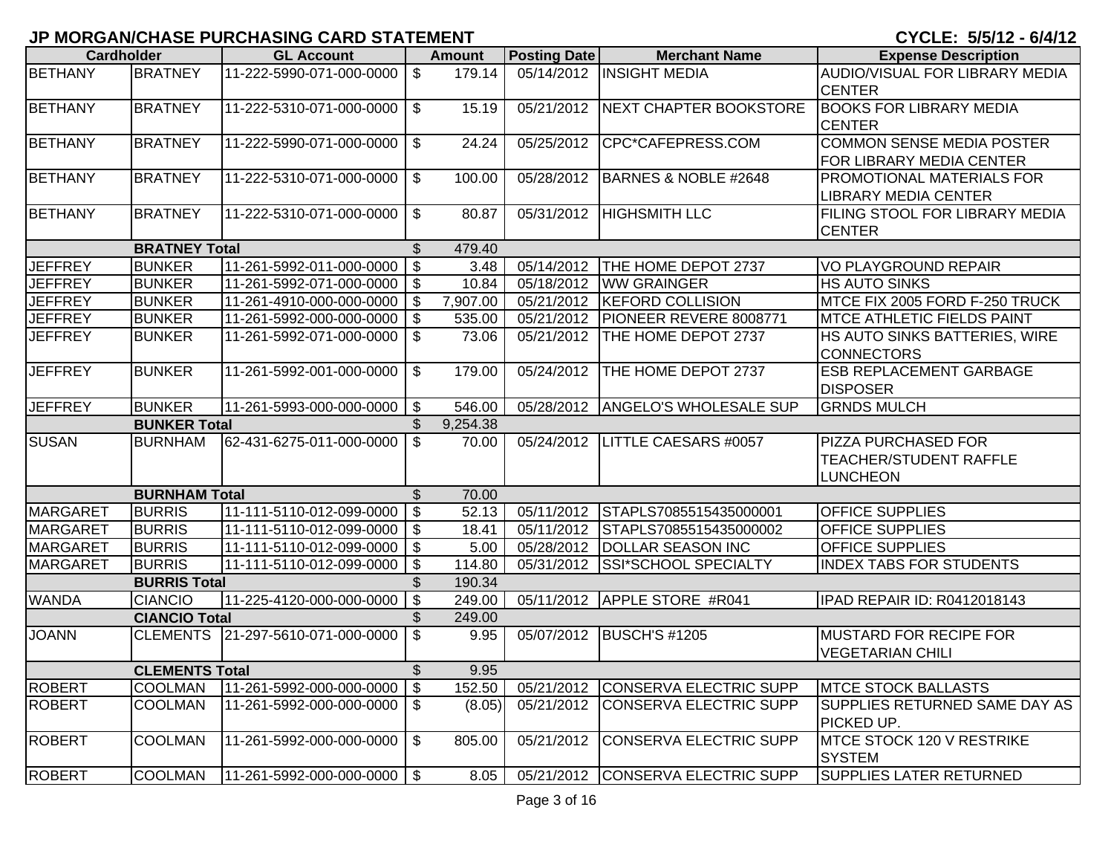| <b>Cardholder</b> |                       | <b>GL Account</b>           |                           | <b>Amount</b> | <b>Posting Date</b> | <b>Merchant Name</b>              | <b>Expense Description</b>                                       |
|-------------------|-----------------------|-----------------------------|---------------------------|---------------|---------------------|-----------------------------------|------------------------------------------------------------------|
| <b>BETHANY</b>    | <b>BRATNEY</b>        | 11-222-5990-071-000-0000    | $\mathfrak{F}$            | 179.14        |                     | 05/14/2012   INSIGHT MEDIA        | AUDIO/VISUAL FOR LIBRARY MEDIA<br><b>CENTER</b>                  |
| <b>BETHANY</b>    | <b>BRATNEY</b>        | 11-222-5310-071-000-0000    | \$                        | 15.19         | 05/21/2012          | <b>NEXT CHAPTER BOOKSTORE</b>     | <b>BOOKS FOR LIBRARY MEDIA</b><br><b>CENTER</b>                  |
| <b>BETHANY</b>    | <b>BRATNEY</b>        | 11-222-5990-071-000-0000    | \$                        | 24.24         | 05/25/2012          | CPC*CAFEPRESS.COM                 | <b>COMMON SENSE MEDIA POSTER</b><br>FOR LIBRARY MEDIA CENTER     |
| <b>BETHANY</b>    | <b>BRATNEY</b>        | 11-222-5310-071-000-0000    | \$                        | 100.00        | 05/28/2012          | BARNES & NOBLE #2648              | PROMOTIONAL MATERIALS FOR<br><b>LIBRARY MEDIA CENTER</b>         |
| <b>BETHANY</b>    | <b>BRATNEY</b>        | 11-222-5310-071-000-0000    | \$                        | 80.87         | 05/31/2012          | <b>HIGHSMITH LLC</b>              | FILING STOOL FOR LIBRARY MEDIA<br><b>CENTER</b>                  |
|                   | <b>BRATNEY Total</b>  |                             | $\sqrt[6]{\frac{1}{2}}$   | 479.40        |                     |                                   |                                                                  |
| <b>JEFFREY</b>    | <b>BUNKER</b>         | 11-261-5992-011-000-0000    | $\boldsymbol{\mathsf{S}}$ | 3.48          | 05/14/2012          | THE HOME DEPOT 2737               | <b>VO PLAYGROUND REPAIR</b>                                      |
| <b>JEFFREY</b>    | <b>BUNKER</b>         | 11-261-5992-071-000-0000    | $\mathfrak{F}$            | 10.84         | 05/18/2012          | <b>WW GRAINGER</b>                | <b>HS AUTO SINKS</b>                                             |
| <b>JEFFREY</b>    | <b>BUNKER</b>         | 11-261-4910-000-000-0000    | $\mathfrak{S}$            | 7,907.00      | 05/21/2012          | <b>KEFORD COLLISION</b>           | MTCE FIX 2005 FORD F-250 TRUCK                                   |
| <b>JEFFREY</b>    | <b>BUNKER</b>         | 11-261-5992-000-000-0000    | $\sqrt{3}$                | 535.00        | 05/21/2012          | PIONEER REVERE 8008771            | <b>MTCE ATHLETIC FIELDS PAINT</b>                                |
| <b>JEFFREY</b>    | <b>BUNKER</b>         | 11-261-5992-071-000-0000    | $\sqrt[6]{\frac{1}{2}}$   | 73.06         | 05/21/2012          | THE HOME DEPOT 2737               | HS AUTO SINKS BATTERIES, WIRE<br><b>CONNECTORS</b>               |
| <b>JEFFREY</b>    | <b>BUNKER</b>         | 11-261-5992-001-000-0000    | \$                        | 179.00        | 05/24/2012          | THE HOME DEPOT 2737               | <b>ESB REPLACEMENT GARBAGE</b><br><b>DISPOSER</b>                |
| <b>JEFFREY</b>    | <b>BUNKER</b>         | 11-261-5993-000-000-0000    | $\mathfrak{F}$            | 546.00        | 05/28/2012          | <b>ANGELO'S WHOLESALE SUP</b>     | <b>GRNDS MULCH</b>                                               |
|                   | <b>BUNKER Total</b>   |                             | \$                        | 9,254.38      |                     |                                   |                                                                  |
| <b>SUSAN</b>      | <b>BURNHAM</b>        | 62-431-6275-011-000-0000    | $\mathfrak{S}$            | 70.00         | 05/24/2012          | LITTLE CAESARS #0057              | PIZZA PURCHASED FOR<br>TEACHER/STUDENT RAFFLE<br><b>LUNCHEON</b> |
|                   | <b>BURNHAM Total</b>  |                             | $\mathfrak{S}$            | 70.00         |                     |                                   |                                                                  |
| <b>MARGARET</b>   | <b>BURRIS</b>         | 11-111-5110-012-099-0000    | $\boldsymbol{\mathsf{S}}$ | 52.13         | 05/11/2012          | STAPLS7085515435000001            | <b>OFFICE SUPPLIES</b>                                           |
| <b>MARGARET</b>   | <b>BURRIS</b>         | 11-111-5110-012-099-0000    | $\mathfrak{S}$            | 18.41         | 05/11/2012          | STAPLS7085515435000002            | <b>OFFICE SUPPLIES</b>                                           |
| <b>MARGARET</b>   | <b>BURRIS</b>         | 11-111-5110-012-099-0000 \$ |                           | 5.00          | 05/28/2012          | <b>DOLLAR SEASON INC</b>          | <b>OFFICE SUPPLIES</b>                                           |
| <b>MARGARET</b>   | <b>BURRIS</b>         | 11-111-5110-012-099-0000    | $\sqrt[6]{\frac{1}{2}}$   | 114.80        | 05/31/2012          | SSI*SCHOOL SPECIALTY              | <b>INDEX TABS FOR STUDENTS</b>                                   |
|                   | <b>BURRIS Total</b>   |                             | \$                        | 190.34        |                     |                                   |                                                                  |
| <b>WANDA</b>      | <b>CIANCIO</b>        | 11-225-4120-000-000-0000    | $\boldsymbol{\mathsf{s}}$ | 249.00        | 05/11/2012          | APPLE STORE #R041                 | IPAD REPAIR ID: R0412018143                                      |
|                   | <b>CIANCIO Total</b>  |                             | \$                        | 249.00        |                     |                                   |                                                                  |
| <b>JOANN</b>      | <b>CLEMENTS</b>       | 21-297-5610-071-000-0000    | $\mathfrak{S}$            | 9.95          | 05/07/2012          | <b>BUSCH'S #1205</b>              | <b>MUSTARD FOR RECIPE FOR</b><br><b>VEGETARIAN CHILI</b>         |
|                   | <b>CLEMENTS Total</b> |                             | \$                        | 9.95          |                     |                                   |                                                                  |
| <b>ROBERT</b>     | <b>COOLMAN</b>        | 11-261-5992-000-000-0000 \$ |                           | 152.50        |                     | 05/21/2012 CONSERVA ELECTRIC SUPP | <b>IMTCE STOCK BALLASTS</b>                                      |
| <b>ROBERT</b>     | <b>COOLMAN</b>        | 11-261-5992-000-000-0000    | $\boldsymbol{\mathsf{S}}$ | (8.05)        | 05/21/2012          | CONSERVA ELECTRIC SUPP            | SUPPLIES RETURNED SAME DAY AS<br>PICKED UP.                      |
| <b>ROBERT</b>     | <b>COOLMAN</b>        | 11-261-5992-000-000-0000    | \$                        | 805.00        | 05/21/2012          | CONSERVA ELECTRIC SUPP            | MTCE STOCK 120 V RESTRIKE<br><b>SYSTEM</b>                       |
| <b>ROBERT</b>     | <b>COOLMAN</b>        | 11-261-5992-000-000-0000 \$ |                           | 8.05          | 05/21/2012          | <b>CONSERVA ELECTRIC SUPP</b>     | <b>SUPPLIES LATER RETURNED</b>                                   |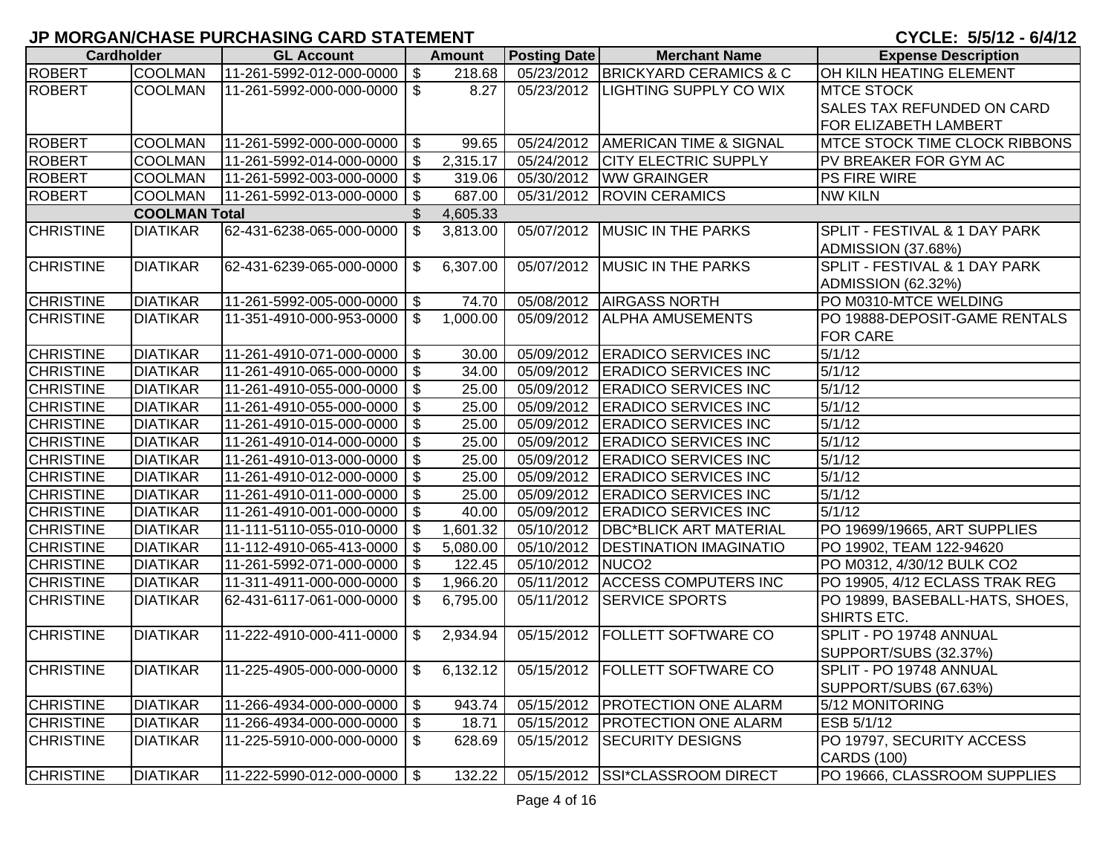|                   |                      |                                           |                           |               |                     |                                             | <b>9. 9 E E . 9, 9, 12 - 9, 7, 12</b> |
|-------------------|----------------------|-------------------------------------------|---------------------------|---------------|---------------------|---------------------------------------------|---------------------------------------|
| <b>Cardholder</b> |                      | <b>GL Account</b>                         |                           | <b>Amount</b> | <b>Posting Date</b> | <b>Merchant Name</b>                        | <b>Expense Description</b>            |
| <b>ROBERT</b>     | <b>COOLMAN</b>       | 11-261-5992-012-000-0000                  | \$                        | 218.68        |                     | 05/23/2012 BRICKYARD CERAMICS & C           | OH KILN HEATING ELEMENT               |
| <b>ROBERT</b>     | <b>COOLMAN</b>       | 11-261-5992-000-000-0000                  | $$^{\circ}$               | 8.27          |                     | 05/23/2012  LIGHTING SUPPLY CO WIX          | <b>MTCE STOCK</b>                     |
|                   |                      |                                           |                           |               |                     |                                             | <b>SALES TAX REFUNDED ON CARD</b>     |
|                   |                      |                                           |                           |               |                     |                                             | FOR ELIZABETH LAMBERT                 |
| <b>ROBERT</b>     | <b>COOLMAN</b>       | 11-261-5992-000-000-0000                  | $\sqrt[6]{3}$             | 99.65         | 05/24/2012          | <b>AMERICAN TIME &amp; SIGNAL</b>           | MTCE STOCK TIME CLOCK RIBBONS         |
| <b>ROBERT</b>     | <b>COOLMAN</b>       | 11-261-5992-014-000-0000                  |                           | 2,315.17      | 05/24/2012          | <b>CITY ELECTRIC SUPPLY</b>                 | PV BREAKER FOR GYM AC                 |
| <b>ROBERT</b>     | <b>COOLMAN</b>       | 11-261-5992-003-000-0000                  | $\frac{1}{2}$             | 319.06        | 05/30/2012          | <b>WW GRAINGER</b>                          | PS FIRE WIRE                          |
| <b>ROBERT</b>     | <b>COOLMAN</b>       | 11-261-5992-013-000-0000                  | $\boldsymbol{\mathsf{s}}$ | 687.00        | 05/31/2012          | <b>ROVIN CERAMICS</b>                       | <b>NW KILN</b>                        |
|                   | <b>COOLMAN Total</b> |                                           |                           | 4,605.33      |                     |                                             |                                       |
| <b>CHRISTINE</b>  | <b>DIATIKAR</b>      | 62-431-6238-065-000-0000                  | \$                        | 3,813.00      | 05/07/2012          | <b>MUSIC IN THE PARKS</b>                   | SPLIT - FESTIVAL & 1 DAY PARK         |
|                   |                      |                                           |                           |               |                     |                                             | <b>ADMISSION (37.68%)</b>             |
| <b>CHRISTINE</b>  | <b>DIATIKAR</b>      | 62-431-6239-065-000-0000                  | \$                        | 6,307.00      | 05/07/2012          | <b>MUSIC IN THE PARKS</b>                   | SPLIT - FESTIVAL & 1 DAY PARK         |
|                   |                      |                                           |                           |               |                     |                                             | <b>ADMISSION (62.32%)</b>             |
| <b>CHRISTINE</b>  | <b>DIATIKAR</b>      | 11-261-5992-005-000-0000   \$             |                           | 74.70         |                     | 05/08/2012 AIRGASS NORTH                    | PO M0310-MTCE WELDING                 |
| <b>CHRISTINE</b>  | <b>DIATIKAR</b>      | 11-351-4910-000-953-0000                  | \$                        | 1,000.00      | 05/09/2012          | <b>ALPHA AMUSEMENTS</b>                     | PO 19888-DEPOSIT-GAME RENTALS         |
|                   |                      |                                           |                           |               |                     |                                             | <b>FOR CARE</b>                       |
| <b>CHRISTINE</b>  | <b>DIATIKAR</b>      | 11-261-4910-071-000-0000   \$             |                           | 30.00         |                     | 05/09/2012 ERADICO SERVICES INC             | $\frac{1}{5/1/12}$                    |
| <b>CHRISTINE</b>  | <b>DIATIKAR</b>      | 11-261-4910-065-000-0000                  | $\boldsymbol{\mathsf{s}}$ | 34.00         | 05/09/2012          | <b>ERADICO SERVICES INC</b>                 | 5/1/12                                |
| <b>CHRISTINE</b>  | <b>DIATIKAR</b>      | 11-261-4910-055-000-0000                  | $\boldsymbol{\mathsf{s}}$ | 25.00         | 05/09/2012          | <b>ERADICO SERVICES INC</b>                 | 5/1/12                                |
| <b>CHRISTINE</b>  | <b>DIATIKAR</b>      | 11-261-4910-055-000-0000                  | $\boldsymbol{\mathsf{s}}$ | 25.00         | 05/09/2012          | <b>ERADICO SERVICES INC</b>                 | 5/1/12                                |
| <b>CHRISTINE</b>  | <b>DIATIKAR</b>      | 11-261-4910-015-000-0000                  | $\boldsymbol{\mathsf{S}}$ | 25.00         | 05/09/2012          | <b>ERADICO SERVICES INC</b>                 | 5/1/12                                |
| <b>CHRISTINE</b>  | <b>DIATIKAR</b>      | 11-261-4910-014-000-0000                  | $\mathfrak{F}$            | 25.00         |                     | 05/09/2012 ERADICO SERVICES INC             | 5/1/12                                |
| <b>CHRISTINE</b>  | <b>DIATIKAR</b>      | 11-261-4910-013-000-0000   \$             |                           | 25.00         |                     | 05/09/2012 ERADICO SERVICES INC             | 5/1/12                                |
| <b>CHRISTINE</b>  | <b>DIATIKAR</b>      | 11-261-4910-012-000-0000                  | \$                        | 25.00         |                     | 05/09/2012 ERADICO SERVICES INC             | 5/1/12                                |
| <b>CHRISTINE</b>  | <b>DIATIKAR</b>      | 11-261-4910-011-000-0000   \$             |                           | 25.00         | 05/09/2012          | <b>ERADICO SERVICES INC</b>                 | 5/1/12                                |
| <b>CHRISTINE</b>  | <b>DIATIKAR</b>      | 11-261-4910-001-000-0000   \$             |                           | 40.00         | 05/09/2012          | <b>ERADICO SERVICES INC</b>                 | $\sqrt{5}/1/12$                       |
| <b>CHRISTINE</b>  | <b>DIATIKAR</b>      | 11-111-5110-055-010-0000                  | \$                        | 1,601.32      | 05/10/2012          | <b>DBC*BLICK ART MATERIAL</b>               | PO 19699/19665, ART SUPPLIES          |
| <b>CHRISTINE</b>  | <b>DIATIKAR</b>      | 11-112-4910-065-413-0000                  | \$                        | 5,080.00      | 05/10/2012          | <b>DESTINATION IMAGINATIO</b>               | PO 19902, TEAM 122-94620              |
| <b>CHRISTINE</b>  | <b>DIATIKAR</b>      | 11-261-5992-071-000-0000                  | $\mathfrak{F}$            | 122.45        | 05/10/2012          | NUCO <sub>2</sub>                           | PO M0312, 4/30/12 BULK CO2            |
| <b>CHRISTINE</b>  | <b>DIATIKAR</b>      | 11-311-4911-000-000-0000   \$             |                           | 1,966.20      | 05/11/2012          | <b>ACCESS COMPUTERS INC</b>                 | PO 19905, 4/12 ECLASS TRAK REG        |
| <b>CHRISTINE</b>  | <b>DIATIKAR</b>      | 62-431-6117-061-000-0000                  | \$                        | 6,795.00      | 05/11/2012          | <b>SERVICE SPORTS</b>                       | PO 19899, BASEBALL-HATS, SHOES,       |
|                   |                      |                                           |                           |               |                     |                                             | SHIRTS ETC.                           |
| <b>CHRISTINE</b>  | <b>DIATIKAR</b>      | 11-222-4910-000-411-0000                  | \$                        | 2,934.94      | 05/15/2012          | <b>FOLLETT SOFTWARE CO</b>                  | SPLIT - PO 19748 ANNUAL               |
|                   |                      |                                           |                           |               |                     |                                             | SUPPORT/SUBS (32.37%)                 |
| <b>CHRISTINE</b>  | <b>DIATIKAR</b>      | $11 - 225 - 4905 - 000 - 000 - 0000$   \$ |                           |               |                     | 6,132.12   05/15/2012   FOLLETT SOFTWARE CO | SPLIT - PO 19748 ANNUAL               |
|                   |                      |                                           |                           |               |                     |                                             | SUPPORT/SUBS (67.63%)                 |
| <b>CHRISTINE</b>  | <b>DIATIKAR</b>      | 11-266-4934-000-000-0000                  | \$                        | 943.74        |                     | 05/15/2012   PROTECTION ONE ALARM           | 5/12 MONITORING                       |
| <b>CHRISTINE</b>  | <b>DIATIKAR</b>      | 11-266-4934-000-000-0000   \$             |                           | 18.71         |                     | 05/15/2012   PROTECTION ONE ALARM           | ESB 5/1/12                            |
| <b>CHRISTINE</b>  | <b>DIATIKAR</b>      | 11-225-5910-000-000-0000                  | \$                        | 628.69        | 05/15/2012          | <b>SECURITY DESIGNS</b>                     | PO 19797, SECURITY ACCESS             |
|                   |                      |                                           |                           |               |                     |                                             | <b>CARDS (100)</b>                    |
| <b>CHRISTINE</b>  | <b>DIATIKAR</b>      | $11 - 222 - 5990 - 012 - 000 - 0000$ \ \$ |                           | 132.22        |                     | 05/15/2012 SSI*CLASSROOM DIRECT             | PO 19666, CLASSROOM SUPPLIES          |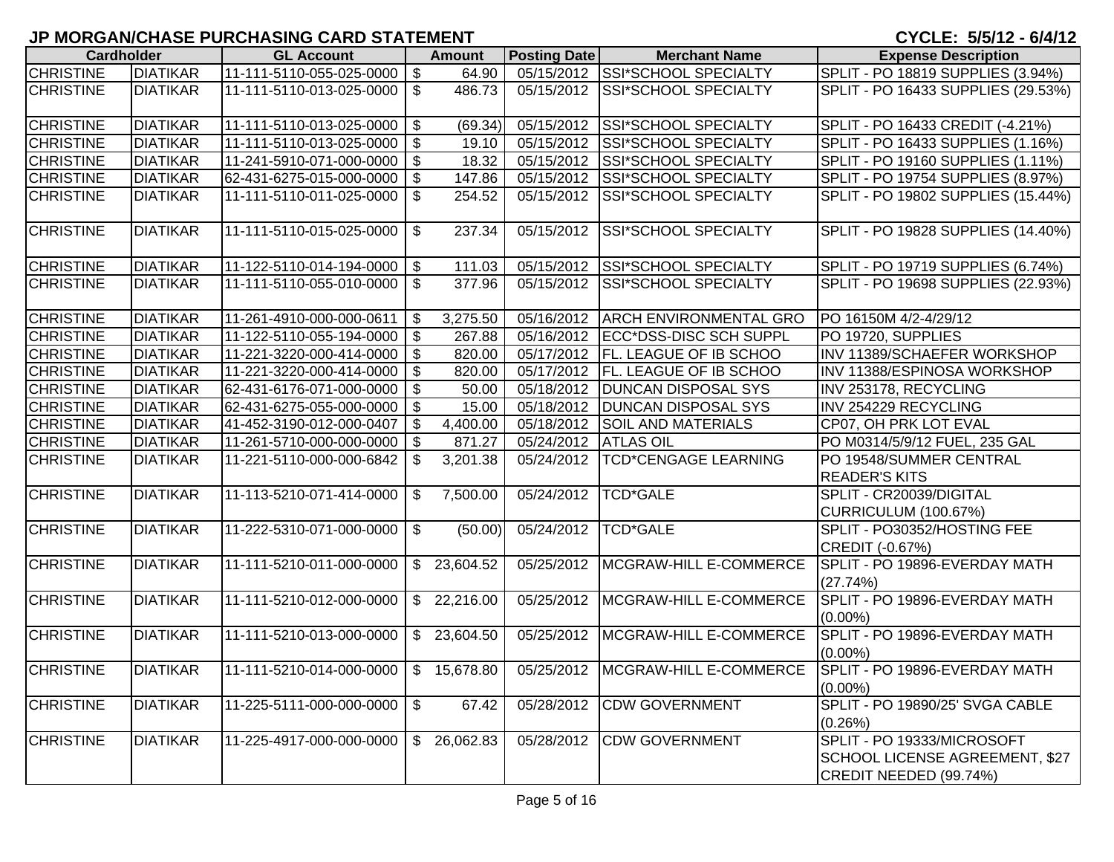|                  | <b>Cardholder</b> | <b>GL Account</b>                              |                           | <b>Amount</b> | <b>Posting Date</b> | <b>Merchant Name</b>                | <b>Expense Description</b>            |
|------------------|-------------------|------------------------------------------------|---------------------------|---------------|---------------------|-------------------------------------|---------------------------------------|
| <b>CHRISTINE</b> | <b>DIATIKAR</b>   | 11-111-5110-055-025-0000                       | $\boldsymbol{\mathsf{S}}$ | 64.90         | 05/15/2012          | <b>SSI*SCHOOL SPECIALTY</b>         | SPLIT - PO 18819 SUPPLIES (3.94%)     |
| <b>CHRISTINE</b> | <b>DIATIKAR</b>   | 11-111-5110-013-025-0000                       | \$                        | 486.73        | 05/15/2012          | <b>SSI*SCHOOL SPECIALTY</b>         | SPLIT - PO 16433 SUPPLIES (29.53%)    |
|                  |                   |                                                |                           |               |                     |                                     |                                       |
| <b>CHRISTINE</b> | <b>DIATIKAR</b>   | 11-111-5110-013-025-0000                       | \$                        | (69.34)       | 05/15/2012          | SSI*SCHOOL SPECIALTY                | SPLIT - PO 16433 CREDIT (-4.21%)      |
| <b>CHRISTINE</b> | <b>DIATIKAR</b>   | 11-111-5110-013-025-0000                       | $\boldsymbol{\mathsf{S}}$ | 19.10         | 05/15/2012          | <b>SSI*SCHOOL SPECIALTY</b>         | SPLIT - PO 16433 SUPPLIES (1.16%)     |
| <b>CHRISTINE</b> | <b>DIATIKAR</b>   | 11-241-5910-071-000-0000   \$                  |                           | 18.32         | 05/15/2012          | SSI*SCHOOL SPECIALTY                | SPLIT - PO 19160 SUPPLIES (1.11%)     |
| <b>CHRISTINE</b> | <b>DIATIKAR</b>   | 62-431-6275-015-000-0000                       | \$                        | 147.86        | 05/15/2012          | SSI*SCHOOL SPECIALTY                | SPLIT - PO 19754 SUPPLIES (8.97%)     |
| <b>CHRISTINE</b> | <b>DIATIKAR</b>   | 11-111-5110-011-025-0000                       | \$                        | 254.52        | 05/15/2012          | SSI*SCHOOL SPECIALTY                | SPLIT - PO 19802 SUPPLIES (15.44%)    |
|                  |                   |                                                |                           |               |                     |                                     |                                       |
| <b>CHRISTINE</b> | <b>DIATIKAR</b>   | 11-111-5110-015-025-0000                       | \$                        | 237.34        | 05/15/2012          | <b>SSI*SCHOOL SPECIALTY</b>         | SPLIT - PO 19828 SUPPLIES (14.40%)    |
|                  |                   |                                                |                           |               |                     |                                     |                                       |
| <b>CHRISTINE</b> | <b>DIATIKAR</b>   | 11-122-5110-014-194-0000                       | $\sqrt[6]{\frac{1}{2}}$   | 111.03        |                     | 05/15/2012 SSI*SCHOOL SPECIALTY     | SPLIT - PO 19719 SUPPLIES (6.74%)     |
| <b>CHRISTINE</b> | <b>DIATIKAR</b>   | 11-111-5110-055-010-0000                       | $\mathfrak{S}$            | 377.96        | 05/15/2012          | <b>SSI*SCHOOL SPECIALTY</b>         | SPLIT - PO 19698 SUPPLIES (22.93%)    |
|                  |                   |                                                |                           |               |                     |                                     |                                       |
| <b>CHRISTINE</b> | <b>DIATIKAR</b>   | 11-261-4910-000-000-0611                       | \$                        | 3,275.50      | 05/16/2012          | <b>ARCH ENVIRONMENTAL GRO</b>       | PO 16150M 4/2-4/29/12                 |
| <b>CHRISTINE</b> | <b>DIATIKAR</b>   | 11-122-5110-055-194-0000   \$                  |                           | 267.88        | 05/16/2012          | ECC*DSS-DISC SCH SUPPL              | PO 19720, SUPPLIES                    |
| <b>CHRISTINE</b> | <b>DIATIKAR</b>   | 11-221-3220-000-414-0000                       | $\boldsymbol{\mathsf{S}}$ | 820.00        | 05/17/2012          | <b>FL. LEAGUE OF IB SCHOO</b>       | INV 11389/SCHAEFER WORKSHOP           |
| <b>CHRISTINE</b> | <b>DIATIKAR</b>   | 11-221-3220-000-414-0000                       | $\boldsymbol{\mathsf{S}}$ | 820.00        | 05/17/2012          | <b>FL. LEAGUE OF IB SCHOO</b>       | INV 11388/ESPINOSA WORKSHOP           |
| <b>CHRISTINE</b> | <b>DIATIKAR</b>   | 62-431-6176-071-000-0000                       | $\overline{\mathbf{3}}$   | 50.00         | 05/18/2012          | <b>DUNCAN DISPOSAL SYS</b>          | INV 253178, RECYCLING                 |
| <b>CHRISTINE</b> | <b>DIATIKAR</b>   | 62-431-6275-055-000-0000                       | $\boldsymbol{\mathsf{S}}$ | 15.00         | 05/18/2012          | <b>DUNCAN DISPOSAL SYS</b>          | INV 254229 RECYCLING                  |
| <b>CHRISTINE</b> | <b>DIATIKAR</b>   | 41-452-3190-012-000-0407                       | $\boldsymbol{\mathsf{S}}$ | 4,400.00      | 05/18/2012          | <b>SOIL AND MATERIALS</b>           | CP07, OH PRK LOT EVAL                 |
| <b>CHRISTINE</b> | <b>DIATIKAR</b>   | 11-261-5710-000-000-0000                       | $\boldsymbol{\mathsf{S}}$ | 871.27        | 05/24/2012          | <b>ATLAS OIL</b>                    | PO M0314/5/9/12 FUEL, 235 GAL         |
| <b>CHRISTINE</b> | <b>DIATIKAR</b>   | 11-221-5110-000-000-6842                       | \$                        | 3,201.38      | 05/24/2012          | <b>TCD*CENGAGE LEARNING</b>         | PO 19548/SUMMER CENTRAL               |
|                  |                   |                                                |                           |               |                     |                                     | <b>READER'S KITS</b>                  |
| <b>CHRISTINE</b> | <b>DIATIKAR</b>   | 11-113-5210-071-414-0000                       | \$                        | 7,500.00      | 05/24/2012          | <b>TCD*GALE</b>                     | SPLIT - CR20039/DIGITAL               |
|                  |                   |                                                |                           |               |                     |                                     | CURRICULUM (100.67%)                  |
| <b>CHRISTINE</b> | <b>DIATIKAR</b>   | 11-222-5310-071-000-0000                       | $\mathbb{S}$              | (50.00)       | 05/24/2012          | TCD*GALE                            | SPLIT - PO30352/HOSTING FEE           |
|                  |                   |                                                |                           |               |                     |                                     | CREDIT (-0.67%)                       |
| <b>CHRISTINE</b> | <b>DIATIKAR</b>   | 11-111-5210-011-000-0000                       |                           | \$23,604.52   | 05/25/2012          | MCGRAW-HILL E-COMMERCE              | SPLIT - PO 19896-EVERDAY MATH         |
|                  |                   |                                                |                           |               |                     |                                     | (27.74%)                              |
| <b>CHRISTINE</b> | <b>DIATIKAR</b>   | 11-111-5210-012-000-0000                       |                           | \$22,216.00   | 05/25/2012          | MCGRAW-HILL E-COMMERCE              | SPLIT - PO 19896-EVERDAY MATH         |
|                  |                   |                                                |                           |               |                     |                                     | $(0.00\%)$                            |
| <b>CHRISTINE</b> | <b>DIATIKAR</b>   | 11-111-5210-013-000-0000                       |                           | \$23,604.50   | 05/25/2012          | MCGRAW-HILL E-COMMERCE              | SPLIT - PO 19896-EVERDAY MATH         |
|                  |                   |                                                |                           |               |                     |                                     | $(0.00\%)$                            |
| <b>CHRISTINE</b> | <b>DIATIKAR</b>   | $11-111-5210-014-000-0000$ $\mid$ \$ 15,678.80 |                           |               |                     | 05/25/2012   MCGRAW-HILL E-COMMERCE | SPLIT - PO 19896-EVERDAY MATH         |
|                  |                   |                                                |                           |               |                     |                                     | $(0.00\%)$                            |
| <b>CHRISTINE</b> | <b>DIATIKAR</b>   | 11-225-5111-000-000-0000                       | $\boldsymbol{\mathsf{S}}$ | 67.42         | 05/28/2012          | <b>CDW GOVERNMENT</b>               | SPLIT - PO 19890/25' SVGA CABLE       |
|                  |                   |                                                |                           |               |                     |                                     | (0.26%)                               |
| <b>CHRISTINE</b> | <b>DIATIKAR</b>   | 11-225-4917-000-000-0000                       |                           | \$26,062.83   | 05/28/2012          | <b>CDW GOVERNMENT</b>               | SPLIT - PO 19333/MICROSOFT            |
|                  |                   |                                                |                           |               |                     |                                     | <b>SCHOOL LICENSE AGREEMENT, \$27</b> |
|                  |                   |                                                |                           |               |                     |                                     | CREDIT NEEDED (99.74%)                |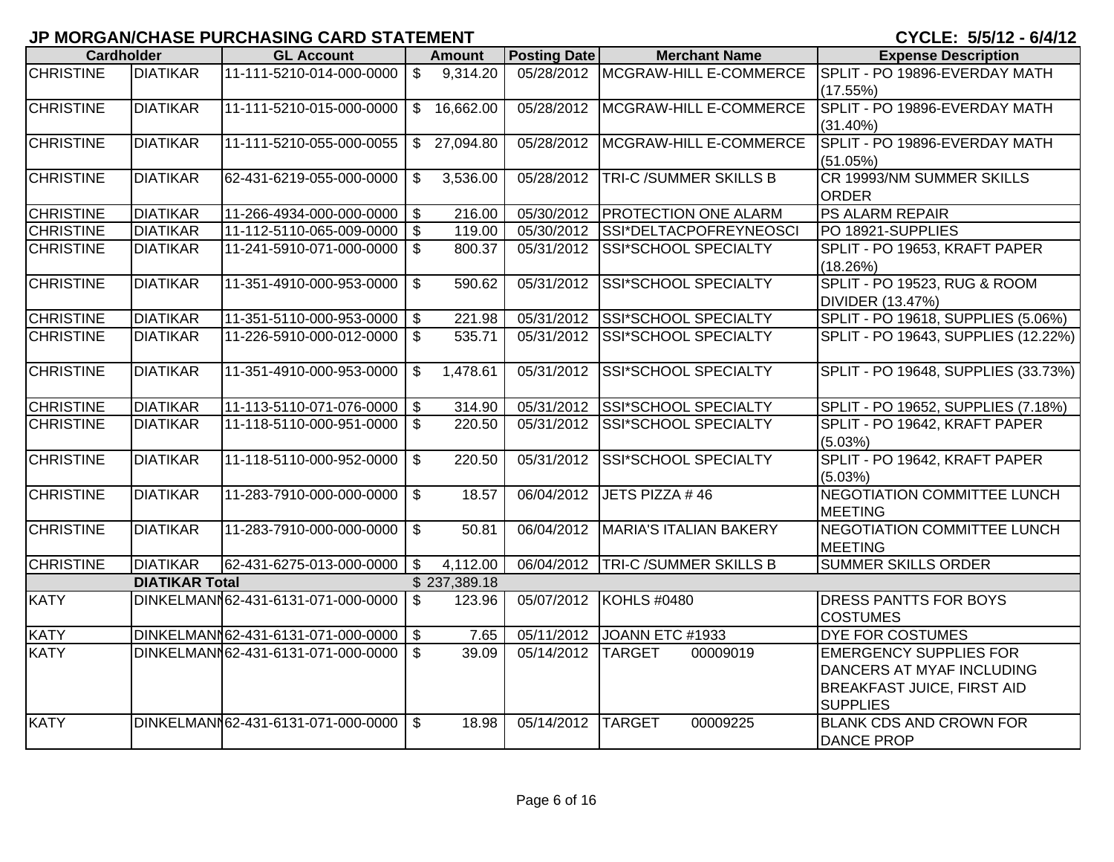|                  | <b>Cardholder</b>     | <b>GL Account</b>                       |                            | <b>Amount</b> | <b>Posting Date</b>     | <b>Merchant Name</b>         | <b>Expense Description</b>                        |
|------------------|-----------------------|-----------------------------------------|----------------------------|---------------|-------------------------|------------------------------|---------------------------------------------------|
| <b>CHRISTINE</b> | <b>DIATIKAR</b>       | 11-111-5210-014-000-0000                | $\boldsymbol{\mathsf{\$}}$ | 9,314.20      | 05/28/2012              | MCGRAW-HILL E-COMMERCE       | SPLIT - PO 19896-EVERDAY MATH                     |
| <b>CHRISTINE</b> | <b>DIATIKAR</b>       | 11-111-5210-015-000-0000                | $\mathfrak{L}$             | 16,662.00     | 05/28/2012              | MCGRAW-HILL E-COMMERCE       | (17.55%)<br>SPLIT - PO 19896-EVERDAY MATH         |
|                  |                       |                                         |                            |               |                         |                              | (31.40%)                                          |
| <b>CHRISTINE</b> | <b>DIATIKAR</b>       | 11-111-5210-055-000-0055                | $\mathbb{S}$               | 27,094.80     | 05/28/2012              | MCGRAW-HILL E-COMMERCE       | SPLIT - PO 19896-EVERDAY MATH                     |
|                  |                       |                                         |                            |               |                         |                              | (51.05%)                                          |
| <b>CHRISTINE</b> | <b>DIATIKAR</b>       | 62-431-6219-055-000-0000                | \$                         | 3,536.00      | 05/28/2012              | <b>TRI-C/SUMMER SKILLS B</b> | CR 19993/NM SUMMER SKILLS                         |
| <b>CHRISTINE</b> | <b>DIATIKAR</b>       | 11-266-4934-000-000-0000                | \$                         | 216.00        | 05/30/2012              | <b>PROTECTION ONE ALARM</b>  | <b>ORDER</b><br><b>PS ALARM REPAIR</b>            |
| <b>CHRISTINE</b> | <b>DIATIKAR</b>       | 11-112-5110-065-009-0000 \$             |                            | 119.00        | 05/30/2012              | SSI*DELTACPOFREYNEOSCI       | PO 18921-SUPPLIES                                 |
| <b>CHRISTINE</b> | <b>DIATIKAR</b>       | 11-241-5910-071-000-0000                | $\sqrt{3}$                 | 800.37        | 05/31/2012              | SSI*SCHOOL SPECIALTY         | SPLIT - PO 19653, KRAFT PAPER                     |
|                  |                       |                                         |                            |               |                         |                              | (18.26%)                                          |
| <b>CHRISTINE</b> | <b>DIATIKAR</b>       | 11-351-4910-000-953-0000                | $\mathfrak{S}$             | 590.62        | 05/31/2012              | SSI*SCHOOL SPECIALTY         | SPLIT - PO 19523, RUG & ROOM                      |
|                  |                       |                                         |                            |               |                         |                              | <b>DIVIDER (13.47%)</b>                           |
| <b>CHRISTINE</b> | <b>DIATIKAR</b>       | 11-351-5110-000-953-0000                | $\sqrt{3}$                 | 221.98        | 05/31/2012              | SSI*SCHOOL SPECIALTY         | SPLIT - PO 19618, SUPPLIES (5.06%)                |
| <b>CHRISTINE</b> | <b>DIATIKAR</b>       | 11-226-5910-000-012-0000                | $\sqrt[6]{2}$              | 535.71        | 05/31/2012              | SSI*SCHOOL SPECIALTY         | SPLIT - PO 19643, SUPPLIES (12.22%)               |
| <b>CHRISTINE</b> | <b>DIATIKAR</b>       | 11-351-4910-000-953-0000                | $\boldsymbol{\mathsf{S}}$  | 1,478.61      | 05/31/2012              | SSI*SCHOOL SPECIALTY         | SPLIT - PO 19648, SUPPLIES (33.73%)               |
| <b>CHRISTINE</b> | <b>DIATIKAR</b>       | 11-113-5110-071-076-0000                | $\sqrt{3}$                 | 314.90        | 05/31/2012              | <b>SSI*SCHOOL SPECIALTY</b>  | SPLIT - PO 19652, SUPPLIES (7.18%)                |
| <b>CHRISTINE</b> | <b>DIATIKAR</b>       | 11-118-5110-000-951-0000                | $\mathfrak{L}$             | 220.50        | 05/31/2012              | <b>SSI*SCHOOL SPECIALTY</b>  | SPLIT - PO 19642, KRAFT PAPER                     |
|                  |                       |                                         |                            |               |                         |                              | (5.03%)                                           |
| <b>CHRISTINE</b> | <b>DIATIKAR</b>       | 11-118-5110-000-952-0000                | $\mathfrak{S}$             | 220.50        | $\overline{05}/31/2012$ | SSI*SCHOOL SPECIALTY         | SPLIT - PO 19642, KRAFT PAPER                     |
|                  |                       |                                         |                            |               |                         |                              | (5.03%)                                           |
| <b>CHRISTINE</b> | <b>DIATIKAR</b>       | 11-283-7910-000-000-0000                | $\mathfrak{F}$             | 18.57         | 06/04/2012              | JETS PIZZA #46               | NEGOTIATION COMMITTEE LUNCH<br><b>MEETING</b>     |
| <b>CHRISTINE</b> | <b>DIATIKAR</b>       | 11-283-7910-000-000-0000                | $\mathfrak{L}$             | 50.81         | 06/04/2012              | MARIA'S ITALIAN BAKERY       | NEGOTIATION COMMITTEE LUNCH                       |
|                  |                       |                                         |                            |               |                         |                              | <b>MEETING</b>                                    |
| <b>CHRISTINE</b> | <b>DIATIKAR</b>       | 62-431-6275-013-000-0000                | \$                         | 4,112.00      | 06/04/2012              | <b>TRI-C/SUMMER SKILLS B</b> | <b>SUMMER SKILLS ORDER</b>                        |
|                  | <b>DIATIKAR Total</b> |                                         |                            | \$237,389.18  |                         |                              |                                                   |
| <b>KATY</b>      |                       | DINKELMANN62-431-6131-071-000-0000      | \$                         | 123.96        | 05/07/2012              | KOHLS #0480                  | DRESS PANTTS FOR BOYS                             |
|                  |                       |                                         |                            |               |                         |                              | <b>COSTUMES</b>                                   |
| <b>KATY</b>      |                       | DINKELMANN62-431-6131-071-000-0000   \$ |                            | 7.65          | 05/11/2012              | JOANN ETC #1933              | <b>DYE FOR COSTUMES</b>                           |
| <b>KATY</b>      |                       | DINKELMANN62-431-6131-071-000-0000      | $\mathfrak{S}$             | 39.09         | 05/14/2012              | <b>TARGET</b><br>00009019    | <b>EMERGENCY SUPPLIES FOR</b>                     |
|                  |                       |                                         |                            |               |                         |                              | DANCERS AT MYAF INCLUDING                         |
|                  |                       |                                         |                            |               |                         |                              | <b>BREAKFAST JUICE, FIRST AID</b>                 |
| <b>KATY</b>      |                       | DINKELMANN62-431-6131-071-000-0000      | \$                         | 18.98         | 05/14/2012              | <b>TARGET</b><br>00009225    | <b>SUPPLIES</b><br><b>BLANK CDS AND CROWN FOR</b> |
|                  |                       |                                         |                            |               |                         |                              | <b>DANCE PROP</b>                                 |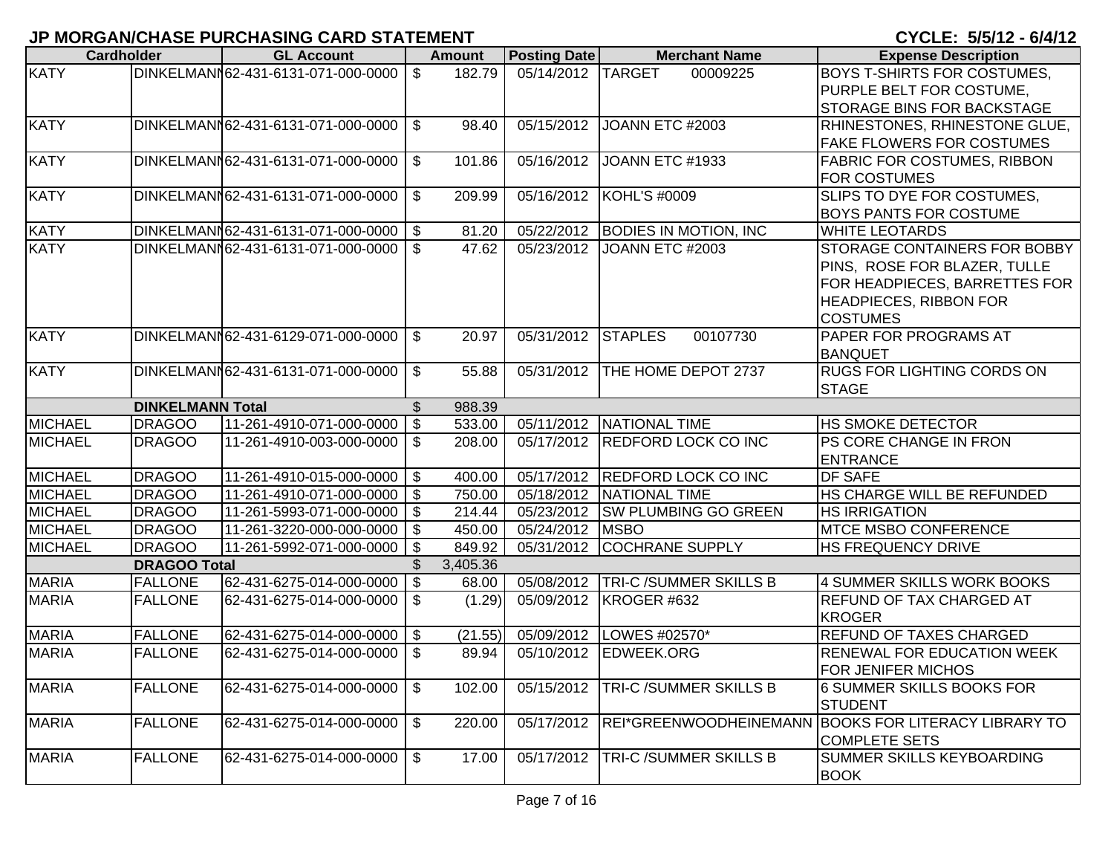|                | <b>Cardholder</b>       | <b>GL Account</b>                         |                | <b>Amount</b> | Posting Date      | <b>Merchant Name</b>           | <b>Expense Description</b>                           |
|----------------|-------------------------|-------------------------------------------|----------------|---------------|-------------------|--------------------------------|------------------------------------------------------|
| <b>KATY</b>    |                         | DINKELMANN62-431-6131-071-000-0000   \$   |                | 182.79        | 05/14/2012 TARGET | 00009225                       | <b>BOYS T-SHIRTS FOR COSTUMES,</b>                   |
|                |                         |                                           |                |               |                   |                                | PURPLE BELT FOR COSTUME,                             |
|                |                         |                                           |                |               |                   |                                | <b>STORAGE BINS FOR BACKSTAGE</b>                    |
| <b>KATY</b>    |                         | DINKELMANN62-431-6131-071-000-0000        | $\sqrt{3}$     | 98.40         | 05/15/2012        | JOANN ETC #2003                | RHINESTONES, RHINESTONE GLUE,                        |
|                |                         |                                           |                |               |                   |                                | <b>FAKE FLOWERS FOR COSTUMES</b>                     |
| <b>KATY</b>    |                         | DINKELMANN62-431-6131-071-000-0000        | $\mathcal{S}$  | 101.86        | 05/16/2012        | JOANN ETC #1933                | <b>FABRIC FOR COSTUMES, RIBBON</b>                   |
|                |                         |                                           |                |               |                   |                                | <b>FOR COSTUMES</b>                                  |
| <b>KATY</b>    |                         | DINKELMANN62-431-6131-071-000-0000        | $\mathbb{S}$   | 209.99        | 05/16/2012        | <b>KOHL'S #0009</b>            | SLIPS TO DYE FOR COSTUMES,                           |
|                |                         |                                           |                |               |                   |                                | <b>BOYS PANTS FOR COSTUME</b>                        |
| <b>KATY</b>    |                         | DINKELMANN62-431-6131-071-000-0000   \$   |                | 81.20         | 05/22/2012        | <b>BODIES IN MOTION, INC</b>   | <b>WHITE LEOTARDS</b>                                |
| <b>KATY</b>    |                         | DINKELMANN62-431-6131-071-000-0000   \$   |                | 47.62         | 05/23/2012        | JOANN ETC #2003                | STORAGE CONTAINERS FOR BOBBY                         |
|                |                         |                                           |                |               |                   |                                | PINS, ROSE FOR BLAZER, TULLE                         |
|                |                         |                                           |                |               |                   |                                | FOR HEADPIECES, BARRETTES FOR                        |
|                |                         |                                           |                |               |                   |                                | <b>HEADPIECES, RIBBON FOR</b>                        |
|                |                         |                                           |                |               |                   |                                | <b>COSTUMES</b>                                      |
| <b>KATY</b>    |                         | DINKELMANN62-431-6129-071-000-0000   \$   |                | 20.97         | 05/31/2012        | <b>STAPLES</b><br>00107730     | PAPER FOR PROGRAMS AT                                |
| <b>KATY</b>    |                         |                                           |                |               | 05/31/2012        |                                | <b>BANQUET</b><br><b>RUGS FOR LIGHTING CORDS ON</b>  |
|                |                         | DINKELMANN62-431-6131-071-000-0000   \$   |                | 55.88         |                   | THE HOME DEPOT 2737            | <b>STAGE</b>                                         |
|                | <b>DINKELMANN Total</b> |                                           | $\mathfrak{S}$ | 988.39        |                   |                                |                                                      |
| <b>MICHAEL</b> | <b>DRAGOO</b>           | $11 - 261 - 4910 - 071 - 000 - 0000$ \ \$ |                | 533.00        |                   | 05/11/2012 NATIONAL TIME       | <b>HS SMOKE DETECTOR</b>                             |
| <b>MICHAEL</b> | <b>DRAGOO</b>           | 11-261-4910-003-000-0000   \$             |                | 208.00        | 05/17/2012        | <b>REDFORD LOCK CO INC</b>     | PS CORE CHANGE IN FRON                               |
|                |                         |                                           |                |               |                   |                                | <b>ENTRANCE</b>                                      |
| <b>MICHAEL</b> | <b>DRAGOO</b>           | $11 - 261 - 4910 - 015 - 000 - 0000$ \$   |                | 400.00        |                   | 05/17/2012 REDFORD LOCK CO INC | DF SAFE                                              |
| <b>MICHAEL</b> | <b>DRAGOO</b>           | 11-261-4910-071-000-0000   \$             |                | 750.00        | 05/18/2012        | NATIONAL TIME                  | HS CHARGE WILL BE REFUNDED                           |
| <b>MICHAEL</b> | <b>DRAGOO</b>           | 11-261-5993-071-000-0000   \$             |                | 214.44        | 05/23/2012        | <b>SW PLUMBING GO GREEN</b>    | <b>HS IRRIGATION</b>                                 |
| <b>MICHAEL</b> | <b>DRAGOO</b>           | 11-261-3220-000-000-0000   \$             |                | 450.00        | 05/24/2012        | <b>MSBO</b>                    | <b>MTCE MSBO CONFERENCE</b>                          |
| <b>MICHAEL</b> | <b>DRAGOO</b>           | 11-261-5992-071-000-0000                  | $\sqrt{3}$     | 849.92        | 05/31/2012        | <b>COCHRANE SUPPLY</b>         | HS FREQUENCY DRIVE                                   |
|                | <b>DRAGOO Total</b>     |                                           | \$             | 3,405.36      |                   |                                |                                                      |
| <b>MARIA</b>   | <b>FALLONE</b>          | 62-431-6275-014-000-0000                  | $\vert$ \$     | 68.00         | 05/08/2012        | <b>TRI-C/SUMMER SKILLS B</b>   | 4 SUMMER SKILLS WORK BOOKS                           |
| <b>MARIA</b>   | <b>FALLONE</b>          | 62-431-6275-014-000-0000 \$               |                | (1.29)        | 05/09/2012        | KROGER #632                    | <b>REFUND OF TAX CHARGED AT</b>                      |
|                |                         |                                           |                |               |                   |                                | <b>KROGER</b>                                        |
| <b>MARIA</b>   | <b>FALLONE</b>          | 62-431-6275-014-000-0000 \$               |                | (21.55)       |                   | 05/09/2012   LOWES #02570*     | <b>REFUND OF TAXES CHARGED</b>                       |
| <b>MARIA</b>   | <b>FALLONE</b>          | 62-431-6275-014-000-0000 \$               |                | 89.94         | 05/10/2012        | <b>EDWEEK.ORG</b>              | <b>RENEWAL FOR EDUCATION WEEK</b>                    |
|                |                         |                                           |                |               |                   |                                | <b>FOR JENIFER MICHOS</b>                            |
| <b>MARIA</b>   | <b>FALLONE</b>          | 62-431-6275-014-000-0000   \$             |                | 102.00        | 05/15/2012        | <b>TRI-C/SUMMER SKILLS B</b>   | <b>6 SUMMER SKILLS BOOKS FOR</b>                     |
|                |                         |                                           |                |               |                   |                                | <b>STUDENT</b>                                       |
| <b>MARIA</b>   | <b>FALLONE</b>          | 62-431-6275-014-000-0000                  | $\sqrt{3}$     | 220.00        | 05/17/2012        |                                | REI*GREENWOODHEINEMANN BOOKS FOR LITERACY LIBRARY TO |
|                |                         |                                           |                |               |                   |                                | <b>COMPLETE SETS</b>                                 |
| <b>MARIA</b>   | <b>FALLONE</b>          | 62-431-6275-014-000-0000   \$             |                | 17.00         | 05/17/2012        | <b>TRI-C/SUMMER SKILLS B</b>   | SUMMER SKILLS KEYBOARDING                            |
|                |                         |                                           |                |               |                   |                                | <b>BOOK</b>                                          |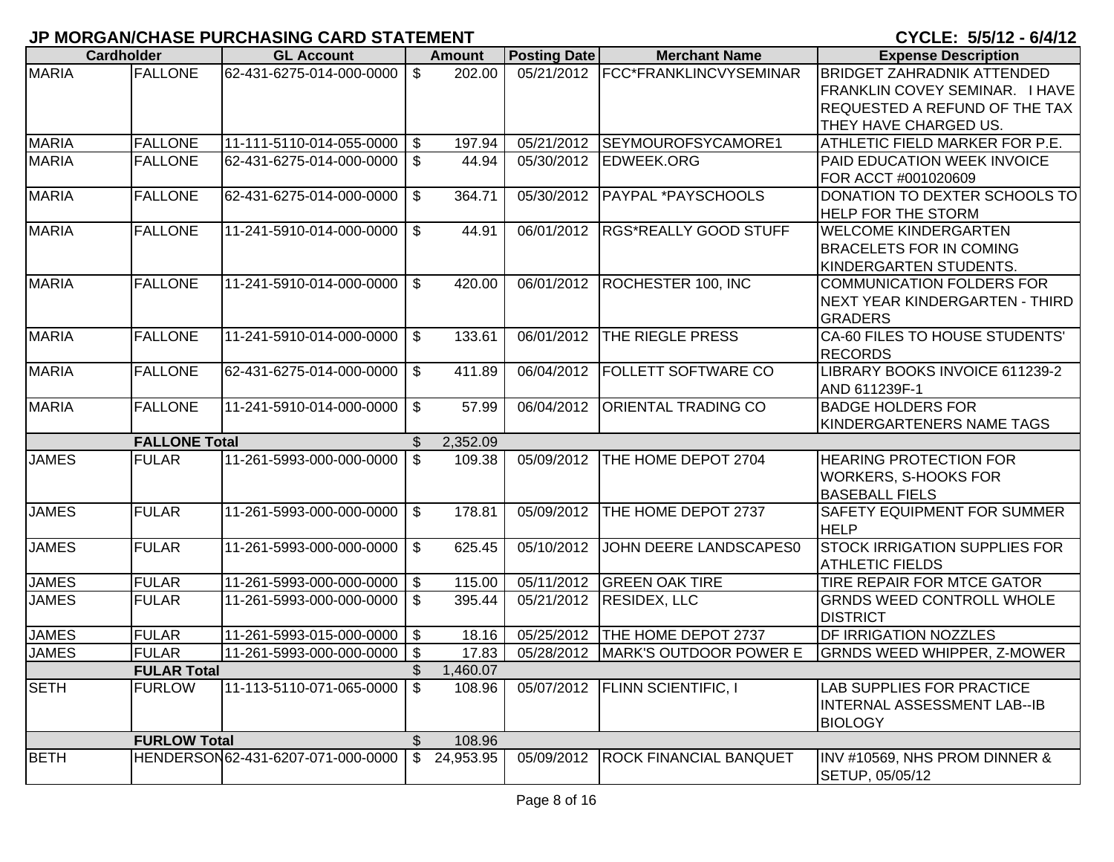| <b>MARIA</b><br>05/21/2012 FCC*FRANKLINCVYSEMINAR<br><b>FALLONE</b><br>62-431-6275-014-000-0000<br>\$<br>202.00<br>THEY HAVE CHARGED US.<br><b>FALLONE</b><br>11-111-5110-014-055-0000   \$<br>05/21/2012<br>SEYMOUROFSYCAMORE1<br>197.94<br><b>FALLONE</b><br>62-431-6275-014-000-0000<br><b>S</b><br>44.94<br>05/30/2012<br><b>EDWEEK.ORG</b><br>FOR ACCT #001020609<br><b>FALLONE</b><br>\$<br>PAYPAL *PAYSCHOOLS<br>62-431-6275-014-000-0000<br>364.71<br>05/30/2012<br><b>HELP FOR THE STORM</b><br><b>FALLONE</b><br>$11 - 241 - 5910 - 014 - 000 - 0000$ \$<br>06/01/2012<br><b>RGS*REALLY GOOD STUFF</b><br>44.91<br><b>WELCOME KINDERGARTEN</b><br><b>BRACELETS FOR IN COMING</b><br>KINDERGARTEN STUDENTS.<br><b>FALLONE</b><br>11-241-5910-014-000-0000<br>06/01/2012<br>ROCHESTER 100, INC<br>\$<br>420.00<br>COMMUNICATION FOLDERS FOR<br>INEXT YEAR KINDERGARTEN - THIRD<br><b>GRADERS</b><br>CA-60 FILES TO HOUSE STUDENTS'<br><b>FALLONE</b><br>11-241-5910-014-000-0000<br>\$<br>06/01/2012<br>THE RIEGLE PRESS<br>133.61<br><b>RECORDS</b><br><b>FALLONE</b><br>62-431-6275-014-000-0000<br>\$<br>06/04/2012<br><b>FOLLETT SOFTWARE CO</b><br>LIBRARY BOOKS INVOICE 611239-2<br>411.89<br>AND 611239F-1<br><b>FALLONE</b><br>11-241-5910-014-000-0000<br>\$<br>06/04/2012<br><b>ORIENTAL TRADING CO</b><br><b>BADGE HOLDERS FOR</b><br>57.99<br>KINDERGARTENERS NAME TAGS<br><b>FALLONE Total</b><br>2,352.09<br><b>JAMES</b><br>11-261-5993-000-000-0000 \$<br>05/09/2012<br><b>FULAR</b><br>109.38<br>THE HOME DEPOT 2704<br><b>HEARING PROTECTION FOR</b><br>WORKERS, S-HOOKS FOR<br><b>BASEBALL FIELS</b><br><b>JAMES</b><br><b>FULAR</b><br>THE HOME DEPOT 2737<br>11-261-5993-000-000-0000<br>\$<br>178.81<br>05/09/2012 | <b>Cardholder</b> | <b>GL Account</b> | <b>Amount</b> | <b>Posting Date</b> | <b>Merchant Name</b> | <b>Expense Description</b>            |
|--------------------------------------------------------------------------------------------------------------------------------------------------------------------------------------------------------------------------------------------------------------------------------------------------------------------------------------------------------------------------------------------------------------------------------------------------------------------------------------------------------------------------------------------------------------------------------------------------------------------------------------------------------------------------------------------------------------------------------------------------------------------------------------------------------------------------------------------------------------------------------------------------------------------------------------------------------------------------------------------------------------------------------------------------------------------------------------------------------------------------------------------------------------------------------------------------------------------------------------------------------------------------------------------------------------------------------------------------------------------------------------------------------------------------------------------------------------------------------------------------------------------------------------------------------------------------------------------------------------------------------------------------------------------------------------------------------------------------------------------------|-------------------|-------------------|---------------|---------------------|----------------------|---------------------------------------|
| <b>MARIA</b><br><b>MARIA</b><br><b>MARIA</b><br><b>MARIA</b><br><b>MARIA</b><br><b>MARIA</b>                                                                                                                                                                                                                                                                                                                                                                                                                                                                                                                                                                                                                                                                                                                                                                                                                                                                                                                                                                                                                                                                                                                                                                                                                                                                                                                                                                                                                                                                                                                                                                                                                                                     |                   |                   |               |                     |                      | <b>BRIDGET ZAHRADNIK ATTENDED</b>     |
| <b>MARIA</b><br><b>MARIA</b>                                                                                                                                                                                                                                                                                                                                                                                                                                                                                                                                                                                                                                                                                                                                                                                                                                                                                                                                                                                                                                                                                                                                                                                                                                                                                                                                                                                                                                                                                                                                                                                                                                                                                                                     |                   |                   |               |                     |                      | FRANKLIN COVEY SEMINAR. I HAVE        |
|                                                                                                                                                                                                                                                                                                                                                                                                                                                                                                                                                                                                                                                                                                                                                                                                                                                                                                                                                                                                                                                                                                                                                                                                                                                                                                                                                                                                                                                                                                                                                                                                                                                                                                                                                  |                   |                   |               |                     |                      | <b>REQUESTED A REFUND OF THE TAX</b>  |
|                                                                                                                                                                                                                                                                                                                                                                                                                                                                                                                                                                                                                                                                                                                                                                                                                                                                                                                                                                                                                                                                                                                                                                                                                                                                                                                                                                                                                                                                                                                                                                                                                                                                                                                                                  |                   |                   |               |                     |                      |                                       |
|                                                                                                                                                                                                                                                                                                                                                                                                                                                                                                                                                                                                                                                                                                                                                                                                                                                                                                                                                                                                                                                                                                                                                                                                                                                                                                                                                                                                                                                                                                                                                                                                                                                                                                                                                  |                   |                   |               |                     |                      | <b>ATHLETIC FIELD MARKER FOR P.E.</b> |
|                                                                                                                                                                                                                                                                                                                                                                                                                                                                                                                                                                                                                                                                                                                                                                                                                                                                                                                                                                                                                                                                                                                                                                                                                                                                                                                                                                                                                                                                                                                                                                                                                                                                                                                                                  |                   |                   |               |                     |                      | <b>PAID EDUCATION WEEK INVOICE</b>    |
|                                                                                                                                                                                                                                                                                                                                                                                                                                                                                                                                                                                                                                                                                                                                                                                                                                                                                                                                                                                                                                                                                                                                                                                                                                                                                                                                                                                                                                                                                                                                                                                                                                                                                                                                                  |                   |                   |               |                     |                      |                                       |
|                                                                                                                                                                                                                                                                                                                                                                                                                                                                                                                                                                                                                                                                                                                                                                                                                                                                                                                                                                                                                                                                                                                                                                                                                                                                                                                                                                                                                                                                                                                                                                                                                                                                                                                                                  |                   |                   |               |                     |                      | DONATION TO DEXTER SCHOOLS TO         |
|                                                                                                                                                                                                                                                                                                                                                                                                                                                                                                                                                                                                                                                                                                                                                                                                                                                                                                                                                                                                                                                                                                                                                                                                                                                                                                                                                                                                                                                                                                                                                                                                                                                                                                                                                  |                   |                   |               |                     |                      |                                       |
|                                                                                                                                                                                                                                                                                                                                                                                                                                                                                                                                                                                                                                                                                                                                                                                                                                                                                                                                                                                                                                                                                                                                                                                                                                                                                                                                                                                                                                                                                                                                                                                                                                                                                                                                                  |                   |                   |               |                     |                      |                                       |
|                                                                                                                                                                                                                                                                                                                                                                                                                                                                                                                                                                                                                                                                                                                                                                                                                                                                                                                                                                                                                                                                                                                                                                                                                                                                                                                                                                                                                                                                                                                                                                                                                                                                                                                                                  |                   |                   |               |                     |                      |                                       |
|                                                                                                                                                                                                                                                                                                                                                                                                                                                                                                                                                                                                                                                                                                                                                                                                                                                                                                                                                                                                                                                                                                                                                                                                                                                                                                                                                                                                                                                                                                                                                                                                                                                                                                                                                  |                   |                   |               |                     |                      |                                       |
|                                                                                                                                                                                                                                                                                                                                                                                                                                                                                                                                                                                                                                                                                                                                                                                                                                                                                                                                                                                                                                                                                                                                                                                                                                                                                                                                                                                                                                                                                                                                                                                                                                                                                                                                                  |                   |                   |               |                     |                      |                                       |
|                                                                                                                                                                                                                                                                                                                                                                                                                                                                                                                                                                                                                                                                                                                                                                                                                                                                                                                                                                                                                                                                                                                                                                                                                                                                                                                                                                                                                                                                                                                                                                                                                                                                                                                                                  |                   |                   |               |                     |                      |                                       |
|                                                                                                                                                                                                                                                                                                                                                                                                                                                                                                                                                                                                                                                                                                                                                                                                                                                                                                                                                                                                                                                                                                                                                                                                                                                                                                                                                                                                                                                                                                                                                                                                                                                                                                                                                  |                   |                   |               |                     |                      |                                       |
|                                                                                                                                                                                                                                                                                                                                                                                                                                                                                                                                                                                                                                                                                                                                                                                                                                                                                                                                                                                                                                                                                                                                                                                                                                                                                                                                                                                                                                                                                                                                                                                                                                                                                                                                                  |                   |                   |               |                     |                      |                                       |
|                                                                                                                                                                                                                                                                                                                                                                                                                                                                                                                                                                                                                                                                                                                                                                                                                                                                                                                                                                                                                                                                                                                                                                                                                                                                                                                                                                                                                                                                                                                                                                                                                                                                                                                                                  |                   |                   |               |                     |                      |                                       |
|                                                                                                                                                                                                                                                                                                                                                                                                                                                                                                                                                                                                                                                                                                                                                                                                                                                                                                                                                                                                                                                                                                                                                                                                                                                                                                                                                                                                                                                                                                                                                                                                                                                                                                                                                  |                   |                   |               |                     |                      |                                       |
|                                                                                                                                                                                                                                                                                                                                                                                                                                                                                                                                                                                                                                                                                                                                                                                                                                                                                                                                                                                                                                                                                                                                                                                                                                                                                                                                                                                                                                                                                                                                                                                                                                                                                                                                                  |                   |                   |               |                     |                      |                                       |
|                                                                                                                                                                                                                                                                                                                                                                                                                                                                                                                                                                                                                                                                                                                                                                                                                                                                                                                                                                                                                                                                                                                                                                                                                                                                                                                                                                                                                                                                                                                                                                                                                                                                                                                                                  |                   |                   |               |                     |                      |                                       |
|                                                                                                                                                                                                                                                                                                                                                                                                                                                                                                                                                                                                                                                                                                                                                                                                                                                                                                                                                                                                                                                                                                                                                                                                                                                                                                                                                                                                                                                                                                                                                                                                                                                                                                                                                  |                   |                   |               |                     |                      |                                       |
|                                                                                                                                                                                                                                                                                                                                                                                                                                                                                                                                                                                                                                                                                                                                                                                                                                                                                                                                                                                                                                                                                                                                                                                                                                                                                                                                                                                                                                                                                                                                                                                                                                                                                                                                                  |                   |                   |               |                     |                      |                                       |
|                                                                                                                                                                                                                                                                                                                                                                                                                                                                                                                                                                                                                                                                                                                                                                                                                                                                                                                                                                                                                                                                                                                                                                                                                                                                                                                                                                                                                                                                                                                                                                                                                                                                                                                                                  |                   |                   |               |                     |                      |                                       |
|                                                                                                                                                                                                                                                                                                                                                                                                                                                                                                                                                                                                                                                                                                                                                                                                                                                                                                                                                                                                                                                                                                                                                                                                                                                                                                                                                                                                                                                                                                                                                                                                                                                                                                                                                  |                   |                   |               |                     |                      |                                       |
|                                                                                                                                                                                                                                                                                                                                                                                                                                                                                                                                                                                                                                                                                                                                                                                                                                                                                                                                                                                                                                                                                                                                                                                                                                                                                                                                                                                                                                                                                                                                                                                                                                                                                                                                                  |                   |                   |               |                     |                      | <b>SAFETY EQUIPMENT FOR SUMMER</b>    |
|                                                                                                                                                                                                                                                                                                                                                                                                                                                                                                                                                                                                                                                                                                                                                                                                                                                                                                                                                                                                                                                                                                                                                                                                                                                                                                                                                                                                                                                                                                                                                                                                                                                                                                                                                  |                   |                   |               |                     |                      | <b>HELP</b>                           |
| <b>JAMES</b><br><b>FULAR</b><br>l \$<br>05/10/2012<br>JOHN DEERE LANDSCAPES0<br>11-261-5993-000-000-0000<br>625.45                                                                                                                                                                                                                                                                                                                                                                                                                                                                                                                                                                                                                                                                                                                                                                                                                                                                                                                                                                                                                                                                                                                                                                                                                                                                                                                                                                                                                                                                                                                                                                                                                               |                   |                   |               |                     |                      | <b>STOCK IRRIGATION SUPPLIES FOR</b>  |
| <b>ATHLETIC FIELDS</b>                                                                                                                                                                                                                                                                                                                                                                                                                                                                                                                                                                                                                                                                                                                                                                                                                                                                                                                                                                                                                                                                                                                                                                                                                                                                                                                                                                                                                                                                                                                                                                                                                                                                                                                           |                   |                   |               |                     |                      |                                       |
| <b>JAMES</b><br><b>FULAR</b><br>11-261-5993-000-000-0000 \$<br>05/11/2012<br><b>GREEN OAK TIRE</b><br>115.00                                                                                                                                                                                                                                                                                                                                                                                                                                                                                                                                                                                                                                                                                                                                                                                                                                                                                                                                                                                                                                                                                                                                                                                                                                                                                                                                                                                                                                                                                                                                                                                                                                     |                   |                   |               |                     |                      | TIRE REPAIR FOR MTCE GATOR            |
| <b>JAMES</b><br><b>FULAR</b><br>\$<br>11-261-5993-000-000-0000<br>395.44<br>05/21/2012<br><b>RESIDEX, LLC</b>                                                                                                                                                                                                                                                                                                                                                                                                                                                                                                                                                                                                                                                                                                                                                                                                                                                                                                                                                                                                                                                                                                                                                                                                                                                                                                                                                                                                                                                                                                                                                                                                                                    |                   |                   |               |                     |                      | <b>GRNDS WEED CONTROLL WHOLE</b>      |
| <b>DISTRICT</b>                                                                                                                                                                                                                                                                                                                                                                                                                                                                                                                                                                                                                                                                                                                                                                                                                                                                                                                                                                                                                                                                                                                                                                                                                                                                                                                                                                                                                                                                                                                                                                                                                                                                                                                                  |                   |                   |               |                     |                      |                                       |
| <b>JAMES</b><br>$11-261-5993-015-000-0000$ \$<br><b>FULAR</b><br>05/25/2012<br>THE HOME DEPOT 2737<br>18.16<br><b>DF IRRIGATION NOZZLES</b>                                                                                                                                                                                                                                                                                                                                                                                                                                                                                                                                                                                                                                                                                                                                                                                                                                                                                                                                                                                                                                                                                                                                                                                                                                                                                                                                                                                                                                                                                                                                                                                                      |                   |                   |               |                     |                      |                                       |
| <b>JAMES</b><br><b>FULAR</b><br>11-261-5993-000-000-0000   \$<br>17.83<br>05/28/2012<br><b>MARK'S OUTDOOR POWER E</b>                                                                                                                                                                                                                                                                                                                                                                                                                                                                                                                                                                                                                                                                                                                                                                                                                                                                                                                                                                                                                                                                                                                                                                                                                                                                                                                                                                                                                                                                                                                                                                                                                            |                   |                   |               |                     |                      | <b>GRNDS WEED WHIPPER, Z-MOWER</b>    |
| <b>FULAR Total</b><br>\$<br>1,460.07                                                                                                                                                                                                                                                                                                                                                                                                                                                                                                                                                                                                                                                                                                                                                                                                                                                                                                                                                                                                                                                                                                                                                                                                                                                                                                                                                                                                                                                                                                                                                                                                                                                                                                             |                   |                   |               |                     |                      |                                       |
| <b>SETH</b><br><b>FURLOW</b><br>11-113-5110-071-065-0000   \$<br><b>FLINN SCIENTIFIC, I</b><br><b>LAB SUPPLIES FOR PRACTICE</b><br>108.96<br>05/07/2012                                                                                                                                                                                                                                                                                                                                                                                                                                                                                                                                                                                                                                                                                                                                                                                                                                                                                                                                                                                                                                                                                                                                                                                                                                                                                                                                                                                                                                                                                                                                                                                          |                   |                   |               |                     |                      |                                       |
|                                                                                                                                                                                                                                                                                                                                                                                                                                                                                                                                                                                                                                                                                                                                                                                                                                                                                                                                                                                                                                                                                                                                                                                                                                                                                                                                                                                                                                                                                                                                                                                                                                                                                                                                                  |                   |                   |               |                     |                      | <b>INTERNAL ASSESSMENT LAB--IB</b>    |
| <b>BIOLOGY</b>                                                                                                                                                                                                                                                                                                                                                                                                                                                                                                                                                                                                                                                                                                                                                                                                                                                                                                                                                                                                                                                                                                                                                                                                                                                                                                                                                                                                                                                                                                                                                                                                                                                                                                                                   |                   |                   |               |                     |                      |                                       |
| <b>FURLOW Total</b><br>108.96<br>\$<br><b>BETH</b><br>HENDERSON62-431-6207-071-000-0000<br>$\mathfrak{S}$<br>24,953.95<br>05/09/2012<br><b>ROCK FINANCIAL BANQUET</b>                                                                                                                                                                                                                                                                                                                                                                                                                                                                                                                                                                                                                                                                                                                                                                                                                                                                                                                                                                                                                                                                                                                                                                                                                                                                                                                                                                                                                                                                                                                                                                            |                   |                   |               |                     |                      | INV #10569, NHS PROM DINNER &         |
| SETUP, 05/05/12                                                                                                                                                                                                                                                                                                                                                                                                                                                                                                                                                                                                                                                                                                                                                                                                                                                                                                                                                                                                                                                                                                                                                                                                                                                                                                                                                                                                                                                                                                                                                                                                                                                                                                                                  |                   |                   |               |                     |                      |                                       |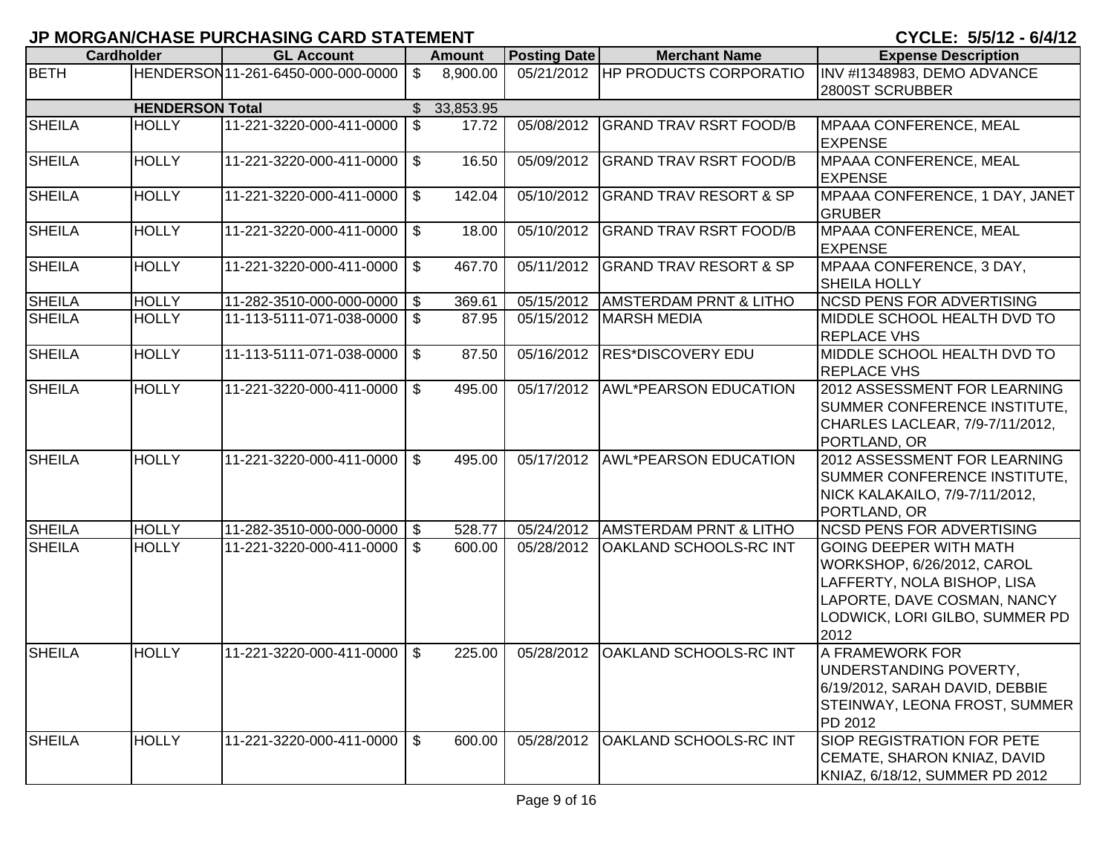| <b>Cardholder</b> |                        | , ,,, ,,<br><b>GL Account</b>     |                | <b>Amount</b> | <b>Posting Date</b> | <b>Merchant Name</b>              | <b>Expense Description</b>                                 |
|-------------------|------------------------|-----------------------------------|----------------|---------------|---------------------|-----------------------------------|------------------------------------------------------------|
| <b>BETH</b>       |                        | HENDERSON11-261-6450-000-000-0000 | $\mathfrak{S}$ | 8,900.00      |                     | 05/21/2012 HP PRODUCTS CORPORATIO | INV #I1348983, DEMO ADVANCE                                |
|                   |                        |                                   |                |               |                     |                                   | 2800ST SCRUBBER                                            |
|                   | <b>HENDERSON Total</b> |                                   |                | \$33,853.95   |                     |                                   |                                                            |
| <b>SHEILA</b>     | <b>HOLLY</b>           | 11-221-3220-000-411-0000 \ \$     |                | 17.72         | 05/08/2012          | <b>GRAND TRAV RSRT FOOD/B</b>     | <b>MPAAA CONFERENCE, MEAL</b>                              |
|                   |                        |                                   |                |               |                     |                                   | <b>EXPENSE</b>                                             |
| <b>SHEILA</b>     | <b>HOLLY</b>           | 11-221-3220-000-411-0000          | $$^{\circ}$    | 16.50         | 05/09/2012          | <b>GRAND TRAV RSRT FOOD/B</b>     | MPAAA CONFERENCE, MEAL                                     |
|                   |                        |                                   |                |               |                     |                                   | <b>EXPENSE</b>                                             |
| <b>SHEILA</b>     | <b>HOLLY</b>           | 11-221-3220-000-411-0000          | \$             | 142.04        | 05/10/2012          | <b>GRAND TRAV RESORT &amp; SP</b> | MPAAA CONFERENCE, 1 DAY, JANET                             |
|                   |                        |                                   |                |               |                     |                                   | <b>GRUBER</b>                                              |
| <b>SHEILA</b>     | <b>HOLLY</b>           | 11-221-3220-000-411-0000          | l \$           | 18.00         | 05/10/2012          | <b>GRAND TRAV RSRT FOOD/B</b>     | MPAAA CONFERENCE, MEAL                                     |
|                   |                        |                                   |                |               |                     |                                   | <b>EXPENSE</b>                                             |
| <b>SHEILA</b>     | <b>HOLLY</b>           | 11-221-3220-000-411-0000          | $$^{\circ}$    | 467.70        | 05/11/2012          | <b>GRAND TRAV RESORT &amp; SP</b> | MPAAA CONFERENCE, 3 DAY,                                   |
|                   |                        |                                   |                |               |                     |                                   | <b>SHEILA HOLLY</b>                                        |
| <b>SHEILA</b>     | <b>HOLLY</b>           | 11-282-3510-000-000-0000 \$       |                | 369.61        | 05/15/2012          | <b>AMSTERDAM PRNT &amp; LITHO</b> | <b>NCSD PENS FOR ADVERTISING</b>                           |
| <b>SHEILA</b>     | <b>HOLLY</b>           | 11-113-5111-071-038-0000 \ \$     |                | 87.95         | 05/15/2012          | <b>MARSH MEDIA</b>                | MIDDLE SCHOOL HEALTH DVD TO                                |
|                   |                        |                                   |                |               |                     |                                   | <b>REPLACE VHS</b>                                         |
| <b>SHEILA</b>     | <b>HOLLY</b>           | 11-113-5111-071-038-0000          | $$^{\circ}$    | 87.50         | 05/16/2012          | <b>RES*DISCOVERY EDU</b>          | MIDDLE SCHOOL HEALTH DVD TO                                |
|                   |                        |                                   |                |               |                     |                                   | <b>REPLACE VHS</b>                                         |
| <b>SHEILA</b>     | <b>HOLLY</b>           | 11-221-3220-000-411-0000          | l \$           | 495.00        | 05/17/2012          | AWL*PEARSON EDUCATION             | 2012 ASSESSMENT FOR LEARNING                               |
|                   |                        |                                   |                |               |                     |                                   | SUMMER CONFERENCE INSTITUTE,                               |
|                   |                        |                                   |                |               |                     |                                   | CHARLES LACLEAR, 7/9-7/11/2012,                            |
|                   |                        |                                   |                |               |                     |                                   | PORTLAND, OR                                               |
| <b>SHEILA</b>     | <b>HOLLY</b>           | 11-221-3220-000-411-0000          | \$             | 495.00        |                     | 05/17/2012 AWL*PEARSON EDUCATION  | 2012 ASSESSMENT FOR LEARNING                               |
|                   |                        |                                   |                |               |                     |                                   | SUMMER CONFERENCE INSTITUTE,                               |
|                   |                        |                                   |                |               |                     |                                   | NICK KALAKAILO, 7/9-7/11/2012,                             |
|                   |                        |                                   |                |               |                     |                                   | PORTLAND, OR                                               |
| <b>SHEILA</b>     | <b>HOLLY</b>           | 11-282-3510-000-000-0000 \$       |                | 528.77        | 05/24/2012          | <b>AMSTERDAM PRNT &amp; LITHO</b> | <b>NCSD PENS FOR ADVERTISING</b>                           |
| <b>SHEILA</b>     | <b>HOLLY</b>           | 11-221-3220-000-411-0000   \$     |                | 600.00        | 05/28/2012          | <b>OAKLAND SCHOOLS-RC INT</b>     | <b>GOING DEEPER WITH MATH</b>                              |
|                   |                        |                                   |                |               |                     |                                   | WORKSHOP, 6/26/2012, CAROL                                 |
|                   |                        |                                   |                |               |                     |                                   | LAFFERTY, NOLA BISHOP, LISA<br>LAPORTE, DAVE COSMAN, NANCY |
|                   |                        |                                   |                |               |                     |                                   |                                                            |
|                   |                        |                                   |                |               |                     |                                   | LODWICK, LORI GILBO, SUMMER PD<br>2012                     |
| <b>SHEILA</b>     | <b>HOLLY</b>           | 11-221-3220-000-411-0000          | \$             | 225.00        | 05/28/2012          | <b>OAKLAND SCHOOLS-RC INT</b>     | A FRAMEWORK FOR                                            |
|                   |                        |                                   |                |               |                     |                                   | <b>JUNDERSTANDING POVERTY,</b>                             |
|                   |                        |                                   |                |               |                     |                                   | 6/19/2012, SARAH DAVID, DEBBIE                             |
|                   |                        |                                   |                |               |                     |                                   | <b>STEINWAY, LEONA FROST, SUMMER</b>                       |
|                   |                        |                                   |                |               |                     |                                   | PD 2012                                                    |
| <b>SHEILA</b>     | <b>HOLLY</b>           | 11-221-3220-000-411-0000          | l \$           | 600.00        | 05/28/2012          | <b>OAKLAND SCHOOLS-RC INT</b>     | <b>SIOP REGISTRATION FOR PETE</b>                          |
|                   |                        |                                   |                |               |                     |                                   | CEMATE, SHARON KNIAZ, DAVID                                |
|                   |                        |                                   |                |               |                     |                                   | KNIAZ, 6/18/12, SUMMER PD 2012                             |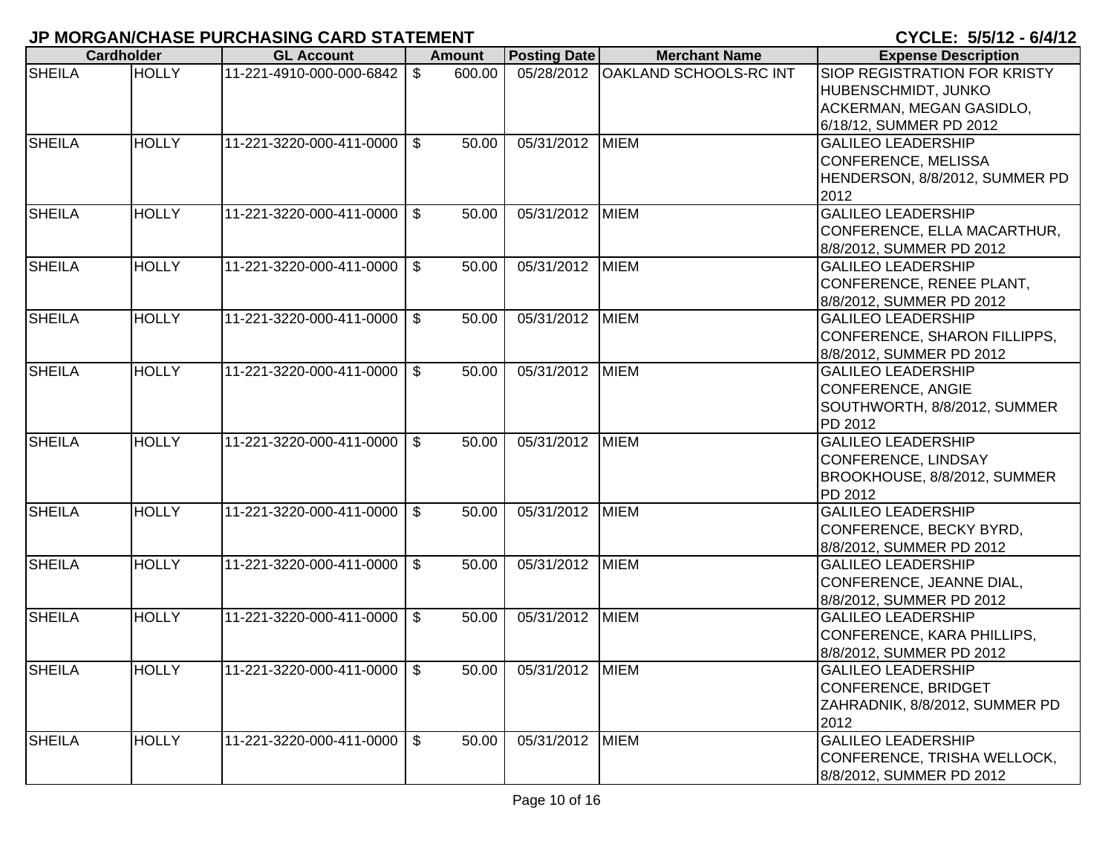|               | <b>Cardholder</b> | <b>GL Account</b>             |                | Amount | <b>Posting Date</b>     | <b>Merchant Name</b>                | <b>Expense Description</b>     |
|---------------|-------------------|-------------------------------|----------------|--------|-------------------------|-------------------------------------|--------------------------------|
| <b>SHEILA</b> | <b>HOLLY</b>      | 11-221-4910-000-000-6842      | \$             | 600.00 |                         | 05/28/2012   OAKLAND SCHOOLS-RC INT | SIOP REGISTRATION FOR KRISTY   |
|               |                   |                               |                |        |                         |                                     | HUBENSCHMIDT, JUNKO            |
|               |                   |                               |                |        |                         |                                     | ACKERMAN, MEGAN GASIDLO,       |
|               |                   |                               |                |        |                         |                                     | 6/18/12, SUMMER PD 2012        |
| <b>SHEILA</b> | <b>HOLLY</b>      | 11-221-3220-000-411-0000      | $\mathcal{S}$  | 50.00  | 05/31/2012              | <b>MIEM</b>                         | <b>GALILEO LEADERSHIP</b>      |
|               |                   |                               |                |        |                         |                                     | CONFERENCE, MELISSA            |
|               |                   |                               |                |        |                         |                                     | HENDERSON, 8/8/2012, SUMMER PD |
|               |                   |                               |                |        |                         |                                     | 2012                           |
| <b>SHEILA</b> | <b>HOLLY</b>      | 11-221-3220-000-411-0000      | $\mathbb{S}$   | 50.00  | 05/31/2012              | <b>MIEM</b>                         | <b>GALILEO LEADERSHIP</b>      |
|               |                   |                               |                |        |                         |                                     | CONFERENCE, ELLA MACARTHUR,    |
|               |                   |                               |                |        |                         |                                     | 8/8/2012, SUMMER PD 2012       |
| <b>SHEILA</b> | <b>HOLLY</b>      | 11-221-3220-000-411-0000      | $\mathfrak{L}$ | 50.00  | 05/31/2012              | <b>MIEM</b>                         | <b>GALILEO LEADERSHIP</b>      |
|               |                   |                               |                |        |                         |                                     | CONFERENCE, RENEE PLANT,       |
|               |                   |                               |                |        |                         |                                     | 8/8/2012, SUMMER PD 2012       |
| <b>SHEILA</b> | <b>HOLLY</b>      | 11-221-3220-000-411-0000      | $\mathfrak{S}$ | 50.00  | 05/31/2012              | <b>MIEM</b>                         | <b>GALILEO LEADERSHIP</b>      |
|               |                   |                               |                |        |                         |                                     | CONFERENCE, SHARON FILLIPPS,   |
|               |                   |                               |                |        |                         |                                     | 8/8/2012, SUMMER PD 2012       |
| <b>SHEILA</b> | <b>HOLLY</b>      | 11-221-3220-000-411-0000 \ \$ |                | 50.00  | $\overline{05/31}/2012$ | <b>MIEM</b>                         | <b>GALILEO LEADERSHIP</b>      |
|               |                   |                               |                |        |                         |                                     | CONFERENCE, ANGIE              |
|               |                   |                               |                |        |                         |                                     | SOUTHWORTH, 8/8/2012, SUMMER   |
|               |                   |                               |                |        |                         |                                     | PD 2012                        |
| <b>SHEILA</b> | <b>HOLLY</b>      | 11-221-3220-000-411-0000      | $\mathfrak{L}$ | 50.00  | 05/31/2012              | <b>MIEM</b>                         | <b>GALILEO LEADERSHIP</b>      |
|               |                   |                               |                |        |                         |                                     | CONFERENCE, LINDSAY            |
|               |                   |                               |                |        |                         |                                     | BROOKHOUSE, 8/8/2012, SUMMER   |
|               |                   |                               |                |        |                         |                                     | PD 2012                        |
| <b>SHEILA</b> | <b>HOLLY</b>      | 11-221-3220-000-411-0000      | $\mathfrak{F}$ | 50.00  | 05/31/2012              | <b>MIEM</b>                         | <b>GALILEO LEADERSHIP</b>      |
|               |                   |                               |                |        |                         |                                     | CONFERENCE, BECKY BYRD,        |
|               |                   |                               |                |        |                         |                                     | 8/8/2012, SUMMER PD 2012       |
| <b>SHEILA</b> | <b>HOLLY</b>      | 11-221-3220-000-411-0000      | $\mathbb{S}$   | 50.00  | 05/31/2012              | <b>MIEM</b>                         | <b>GALILEO LEADERSHIP</b>      |
|               |                   |                               |                |        |                         |                                     | CONFERENCE, JEANNE DIAL,       |
|               |                   |                               |                |        |                         |                                     | 8/8/2012, SUMMER PD 2012       |
| <b>SHEILA</b> | <b>HOLLY</b>      | 11-221-3220-000-411-0000      | $\mathfrak{S}$ | 50.00  | 05/31/2012              | <b>MIEM</b>                         | <b>GALILEO LEADERSHIP</b>      |
|               |                   |                               |                |        |                         |                                     | CONFERENCE, KARA PHILLIPS,     |
|               |                   |                               |                |        |                         |                                     | 8/8/2012, SUMMER PD 2012       |
| <b>SHEILA</b> | <b>HOLLY</b>      | 11-221-3220-000-411-0000 \ \$ |                | 50.00  | 05/31/2012 MIEM         |                                     | <b>GALILEO LEADERSHIP</b>      |
|               |                   |                               |                |        |                         |                                     | <b>CONFERENCE, BRIDGET</b>     |
|               |                   |                               |                |        |                         |                                     | ZAHRADNIK, 8/8/2012, SUMMER PD |
|               |                   |                               |                |        |                         |                                     | 2012                           |
| <b>SHEILA</b> | <b>HOLLY</b>      | 11-221-3220-000-411-0000      | \$             | 50.00  | 05/31/2012              | <b>MIEM</b>                         | <b>GALILEO LEADERSHIP</b>      |
|               |                   |                               |                |        |                         |                                     | CONFERENCE, TRISHA WELLOCK,    |
|               |                   |                               |                |        |                         |                                     | 8/8/2012, SUMMER PD 2012       |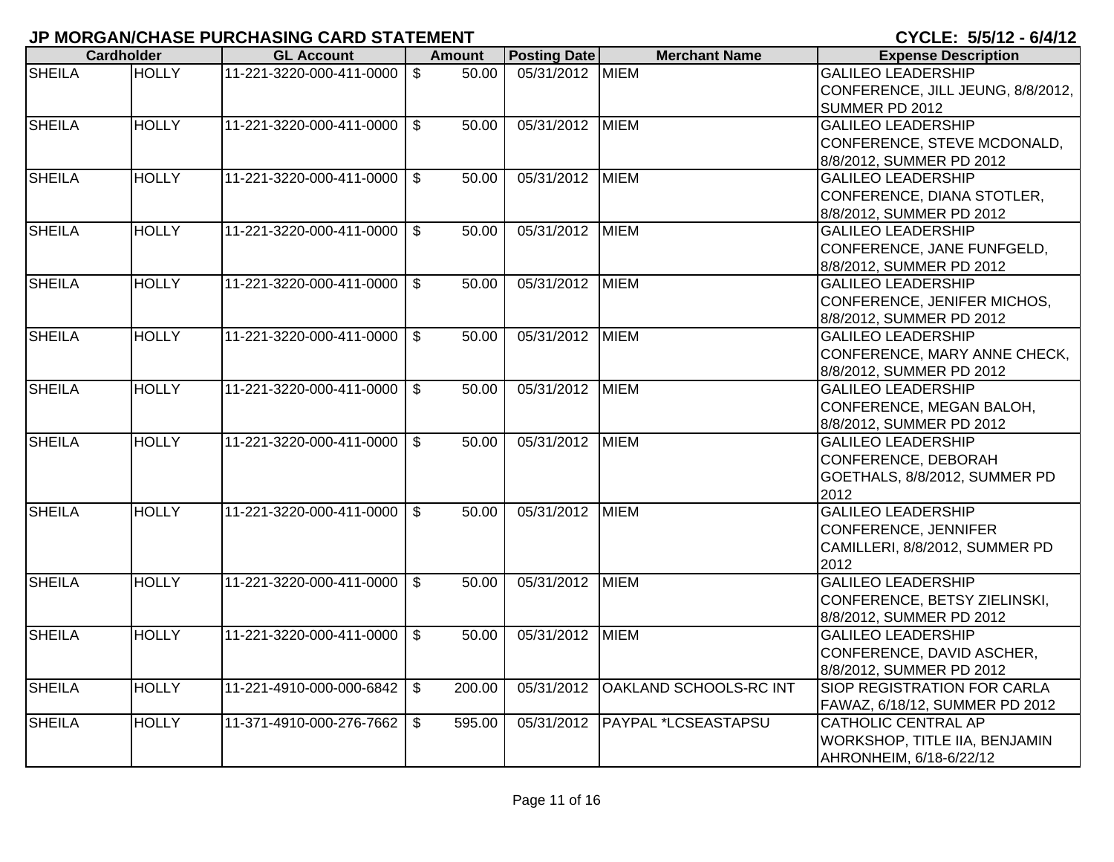|               | <b>Cardholder</b> | <b>GL Account</b>             |                | Amount | <b>Posting Date</b> | <b>Merchant Name</b>             | <b>Expense Description</b>         |
|---------------|-------------------|-------------------------------|----------------|--------|---------------------|----------------------------------|------------------------------------|
| <b>SHEILA</b> | <b>HOLLY</b>      | 11-221-3220-000-411-0000      | \$             | 50.00  | 05/31/2012 MIEM     |                                  | <b>GALILEO LEADERSHIP</b>          |
|               |                   |                               |                |        |                     |                                  | CONFERENCE, JILL JEUNG, 8/8/2012,  |
|               |                   |                               |                |        |                     |                                  | SUMMER PD 2012                     |
| <b>SHEILA</b> | <b>HOLLY</b>      | 11-221-3220-000-411-0000      | $\mathfrak{L}$ | 50.00  | 05/31/2012          | <b>MIEM</b>                      | <b>GALILEO LEADERSHIP</b>          |
|               |                   |                               |                |        |                     |                                  | CONFERENCE, STEVE MCDONALD,        |
|               |                   |                               |                |        |                     |                                  | 8/8/2012, SUMMER PD 2012           |
| <b>SHEILA</b> | <b>HOLLY</b>      | 11-221-3220-000-411-0000      | $\mathbb{S}$   | 50.00  | 05/31/2012 MIEM     |                                  | <b>GALILEO LEADERSHIP</b>          |
|               |                   |                               |                |        |                     |                                  | CONFERENCE, DIANA STOTLER,         |
|               |                   |                               |                |        |                     |                                  | 8/8/2012, SUMMER PD 2012           |
| <b>SHEILA</b> | <b>HOLLY</b>      | 11-221-3220-000-411-0000      | $\sqrt{3}$     | 50.00  | 05/31/2012 MIEM     |                                  | <b>GALILEO LEADERSHIP</b>          |
|               |                   |                               |                |        |                     |                                  | CONFERENCE, JANE FUNFGELD,         |
|               |                   |                               |                |        |                     |                                  | 8/8/2012, SUMMER PD 2012           |
| <b>SHEILA</b> | <b>HOLLY</b>      | 11-221-3220-000-411-0000      | $\sqrt{3}$     | 50.00  | 05/31/2012 MIEM     |                                  | <b>GALILEO LEADERSHIP</b>          |
|               |                   |                               |                |        |                     |                                  | CONFERENCE, JENIFER MICHOS,        |
|               |                   |                               |                |        |                     |                                  | 8/8/2012, SUMMER PD 2012           |
| <b>SHEILA</b> | <b>HOLLY</b>      | 11-221-3220-000-411-0000 \ \$ |                | 50.00  | 05/31/2012 MIEM     |                                  | <b>GALILEO LEADERSHIP</b>          |
|               |                   |                               |                |        |                     |                                  | CONFERENCE, MARY ANNE CHECK,       |
|               |                   |                               |                |        |                     |                                  | 8/8/2012, SUMMER PD 2012           |
| <b>SHEILA</b> | <b>HOLLY</b>      | 11-221-3220-000-411-0000      | $\mathbb{S}$   | 50.00  | 05/31/2012 MIEM     |                                  | <b>GALILEO LEADERSHIP</b>          |
|               |                   |                               |                |        |                     |                                  | CONFERENCE, MEGAN BALOH,           |
|               |                   |                               |                |        |                     |                                  | 8/8/2012, SUMMER PD 2012           |
| <b>SHEILA</b> | <b>HOLLY</b>      | 11-221-3220-000-411-0000      | $\sqrt{3}$     | 50.00  | 05/31/2012 MIEM     |                                  | <b>GALILEO LEADERSHIP</b>          |
|               |                   |                               |                |        |                     |                                  | CONFERENCE, DEBORAH                |
|               |                   |                               |                |        |                     |                                  | GOETHALS, 8/8/2012, SUMMER PD      |
|               |                   |                               |                |        |                     |                                  | 2012                               |
| <b>SHEILA</b> | <b>HOLLY</b>      | 11-221-3220-000-411-0000      | $\mathcal{S}$  | 50.00  | 05/31/2012          | <b>MIEM</b>                      | <b>GALILEO LEADERSHIP</b>          |
|               |                   |                               |                |        |                     |                                  | CONFERENCE, JENNIFER               |
|               |                   |                               |                |        |                     |                                  | CAMILLERI, 8/8/2012, SUMMER PD     |
|               |                   |                               |                |        |                     |                                  | 2012                               |
| <b>SHEILA</b> | <b>HOLLY</b>      | 11-221-3220-000-411-0000      | $\mathbb{S}$   | 50.00  | 05/31/2012 MIEM     |                                  | <b>GALILEO LEADERSHIP</b>          |
|               |                   |                               |                |        |                     |                                  | CONFERENCE, BETSY ZIELINSKI,       |
|               |                   |                               |                |        |                     |                                  | 8/8/2012, SUMMER PD 2012           |
| <b>SHEILA</b> | <b>HOLLY</b>      | 11-221-3220-000-411-0000      | $\mathfrak{L}$ | 50.00  | 05/31/2012 MIEM     |                                  | <b>GALILEO LEADERSHIP</b>          |
|               |                   |                               |                |        |                     |                                  | CONFERENCE, DAVID ASCHER,          |
|               |                   |                               |                |        |                     |                                  | 8/8/2012, SUMMER PD 2012           |
| <b>SHEILA</b> | <b>HOLLY</b>      | 11-221-4910-000-000-6842      | $\sqrt{3}$     | 200.00 | 05/31/2012          | <b>OAKLAND SCHOOLS-RC INT</b>    | <b>SIOP REGISTRATION FOR CARLA</b> |
|               |                   |                               |                |        |                     |                                  | FAWAZ, 6/18/12, SUMMER PD 2012     |
| <b>SHEILA</b> | <b>HOLLY</b>      | 11-371-4910-000-276-7662      | $\mathfrak{S}$ | 595.00 |                     | 05/31/2012   PAYPAL *LCSEASTAPSU | <b>CATHOLIC CENTRAL AP</b>         |
|               |                   |                               |                |        |                     |                                  | WORKSHOP, TITLE IIA, BENJAMIN      |
|               |                   |                               |                |        |                     |                                  | AHRONHEIM, 6/18-6/22/12            |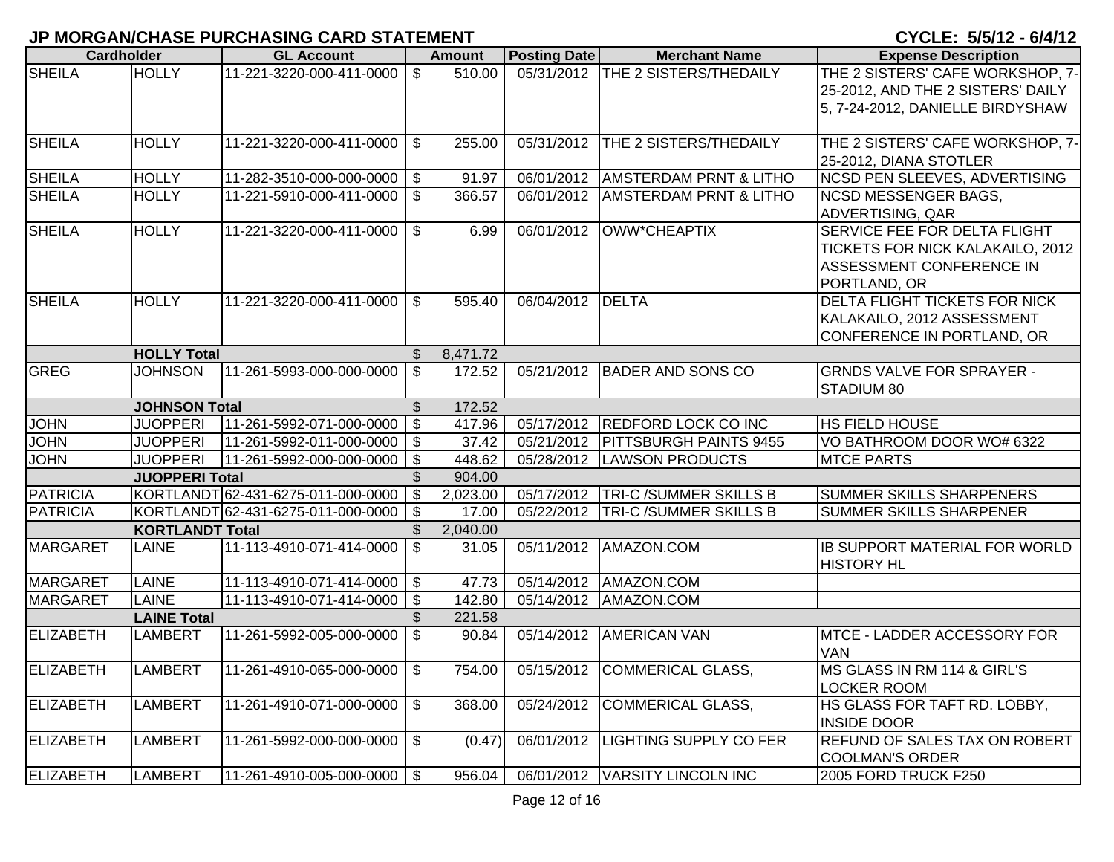|                  | <b>Cardholder</b>      | <b>GL Account</b>                  |                           | <b>Amount</b> | <b>Posting Date</b> | <b>Merchant Name</b>                | <b>Expense Description</b>                                                                                   |
|------------------|------------------------|------------------------------------|---------------------------|---------------|---------------------|-------------------------------------|--------------------------------------------------------------------------------------------------------------|
| <b>SHEILA</b>    | <b>HOLLY</b>           | 11-221-3220-000-411-0000           | \$                        | 510.00        |                     | 05/31/2012   THE 2 SISTERS/THEDAILY | THE 2 SISTERS' CAFE WORKSHOP, 7-<br>25-2012, AND THE 2 SISTERS' DAILY<br>5, 7-24-2012, DANIELLE BIRDYSHAW    |
| <b>SHEILA</b>    | <b>HOLLY</b>           | 11-221-3220-000-411-0000           | $\mathfrak{S}$            | 255.00        | 05/31/2012          | THE 2 SISTERS/THEDAILY              | THE 2 SISTERS' CAFE WORKSHOP, 7-<br>25-2012, DIANA STOTLER                                                   |
| <b>SHEILA</b>    | <b>HOLLY</b>           | 11-282-3510-000-000-0000           | \$                        | 91.97         | 06/01/2012          | <b>AMSTERDAM PRNT &amp; LITHO</b>   | NCSD PEN SLEEVES, ADVERTISING                                                                                |
| <b>SHEILA</b>    | <b>HOLLY</b>           | 11-221-5910-000-411-0000           | $\mathfrak{S}$            | 366.57        | 06/01/2012          | <b>AMSTERDAM PRNT &amp; LITHO</b>   | <b>NCSD MESSENGER BAGS,</b><br>ADVERTISING, QAR                                                              |
| <b>SHEILA</b>    | <b>HOLLY</b>           | 11-221-3220-000-411-0000           | $\mathbb{S}$              | 6.99          | 06/01/2012          | OWW*CHEAPTIX                        | SERVICE FEE FOR DELTA FLIGHT<br>TICKETS FOR NICK KALAKAILO, 2012<br>ASSESSMENT CONFERENCE IN<br>PORTLAND, OR |
| <b>SHEILA</b>    | <b>HOLLY</b>           | 11-221-3220-000-411-0000           | \$                        | 595.40        | 06/04/2012          | <b>DELTA</b>                        | <b>DELTA FLIGHT TICKETS FOR NICK</b><br>KALAKAILO, 2012 ASSESSMENT<br>CONFERENCE IN PORTLAND, OR             |
|                  | <b>HOLLY Total</b>     |                                    | $\mathfrak{L}$            | 8,471.72      |                     |                                     |                                                                                                              |
| GREG             | <b>JOHNSON</b>         | 11-261-5993-000-000-0000           | $\mathfrak{S}$            | 172.52        | 05/21/2012          | <b>BADER AND SONS CO</b>            | <b>GRNDS VALVE FOR SPRAYER -</b><br>STADIUM 80                                                               |
|                  | <b>JOHNSON Total</b>   |                                    | $\mathfrak{L}$            | 172.52        |                     |                                     |                                                                                                              |
| <b>JOHN</b>      | <b>JUOPPERI</b>        | 11-261-5992-071-000-0000           | $\overline{\mathfrak{s}}$ | 417.96        | 05/17/2012          | <b>REDFORD LOCK CO INC</b>          | <b>HS FIELD HOUSE</b>                                                                                        |
| <b>JOHN</b>      | <b>JUOPPERI</b>        | 11-261-5992-011-000-0000           | $\sqrt[6]{\frac{1}{2}}$   | 37.42         | 05/21/2012          | <b>PITTSBURGH PAINTS 9455</b>       | VO BATHROOM DOOR WO# 6322                                                                                    |
| <b>JOHN</b>      | <b>JUOPPERI</b>        | 11-261-5992-000-000-0000           | $\frac{1}{2}$             | 448.62        | 05/28/2012          | <b>LAWSON PRODUCTS</b>              | <b>MTCE PARTS</b>                                                                                            |
|                  | <b>JUOPPERI Total</b>  |                                    |                           | 904.00        |                     |                                     |                                                                                                              |
| <b>PATRICIA</b>  |                        | KORTLANDT 62-431-6275-011-000-0000 | $\mathfrak{S}$            | 2,023.00      | 05/17/2012          | <b>TRI-C/SUMMER SKILLS B</b>        | <b>SUMMER SKILLS SHARPENERS</b>                                                                              |
| <b>PATRICIA</b>  |                        | KORTLANDT 62-431-6275-011-000-0000 | $\sqrt[6]{3}$             | 17.00         | 05/22/2012          | <b>TRI-C/SUMMER SKILLS B</b>        | <b>SUMMER SKILLS SHARPENER</b>                                                                               |
|                  | <b>KORTLANDT Total</b> |                                    | \$                        | 2,040.00      |                     |                                     |                                                                                                              |
| <b>MARGARET</b>  | <b>LAINE</b>           | 11-113-4910-071-414-0000           | $\mathfrak{S}$            | 31.05         | 05/11/2012          | AMAZON.COM                          | <b>IB SUPPORT MATERIAL FOR WORLD</b><br><b>HISTORY HL</b>                                                    |
| <b>MARGARET</b>  | LAINE                  | 11-113-4910-071-414-0000   \$      |                           | 47.73         | 05/14/2012          | AMAZON.COM                          |                                                                                                              |
| <b>MARGARET</b>  | <b>LAINE</b>           | 11-113-4910-071-414-0000           | \$                        | 142.80        | 05/14/2012          | AMAZON.COM                          |                                                                                                              |
|                  | <b>LAINE Total</b>     |                                    | \$                        | 221.58        |                     |                                     |                                                                                                              |
| <b>ELIZABETH</b> | <b>LAMBERT</b>         | 11-261-5992-005-000-0000           | $\mathfrak{S}$            | 90.84         | 05/14/2012          | <b>AMERICAN VAN</b>                 | MTCE - LADDER ACCESSORY FOR<br><b>VAN</b>                                                                    |
| <b>ELIZABETH</b> | <b>LAMBERT</b>         | $11-261-4910-065-000-0000$ \$      |                           | 754.00        |                     | 05/15/2012 COMMERICAL GLASS,        | MS GLASS IN RM 114 & GIRL'S<br><b>LOCKER ROOM</b>                                                            |
| <b>ELIZABETH</b> | LAMBERT                | 11-261-4910-071-000-0000           | \$                        | 368.00        | 05/24/2012          | <b>COMMERICAL GLASS,</b>            | HS GLASS FOR TAFT RD. LOBBY,<br><b>INSIDE DOOR</b>                                                           |
| <b>ELIZABETH</b> | LAMBERT                | 11-261-5992-000-000-0000           | $\boldsymbol{\mathsf{S}}$ | (0.47)        | 06/01/2012          | <b>LIGHTING SUPPLY CO FER</b>       | REFUND OF SALES TAX ON ROBERT<br><b>COOLMAN'S ORDER</b>                                                      |
| <b>ELIZABETH</b> | <b>LAMBERT</b>         | 11-261-4910-005-000-0000   \$      |                           | 956.04        |                     | 06/01/2012 VARSITY LINCOLN INC      | 2005 FORD TRUCK F250                                                                                         |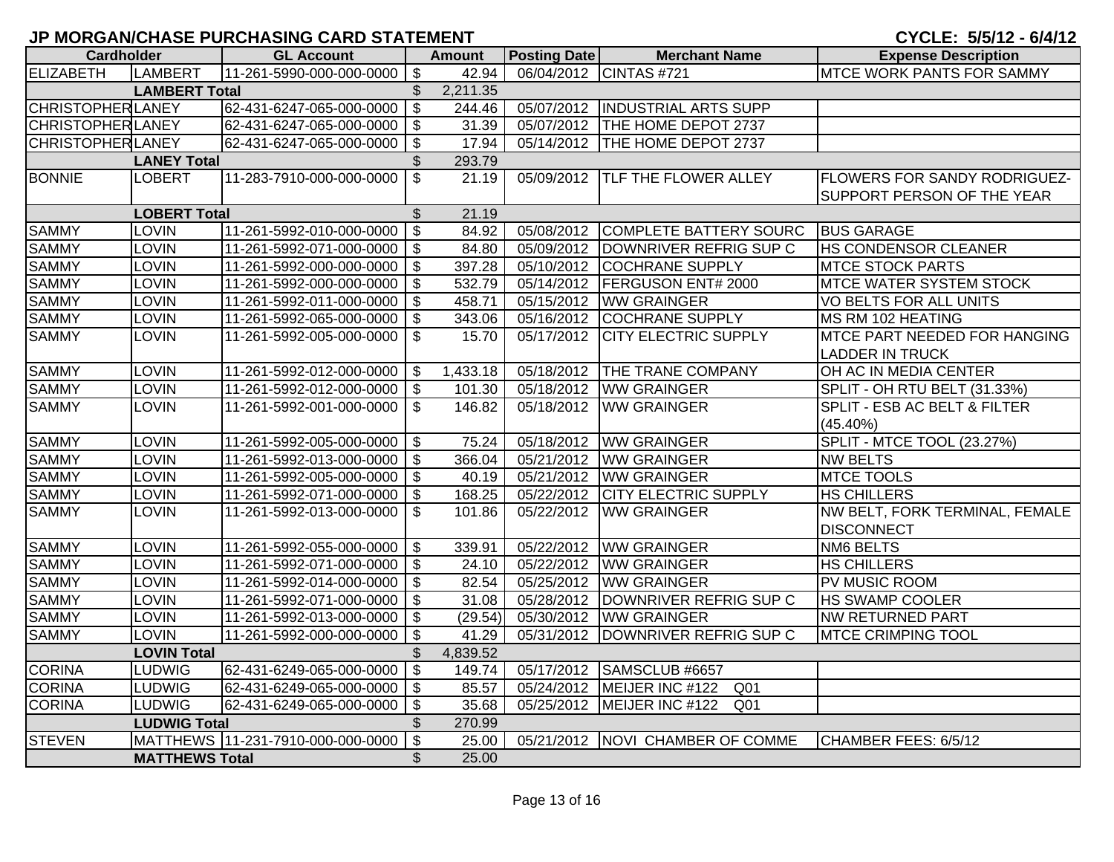| <b>Cardholder</b>        |                       | <b>GL Account</b>                 |                                  | <b>Amount</b> | <b>Posting Date</b> | <b>Merchant Name</b>               | <b>Expense Description</b>          |
|--------------------------|-----------------------|-----------------------------------|----------------------------------|---------------|---------------------|------------------------------------|-------------------------------------|
| <b>ELIZABETH</b>         | LAMBERT               | 11-261-5990-000-000-0000          | $\boldsymbol{\mathsf{S}}$        | 42.94         | 06/04/2012          | CINTAS #721                        | <b>MTCE WORK PANTS FOR SAMMY</b>    |
| <b>LAMBERT Total</b>     |                       | \$                                | 2,211.35                         |               |                     |                                    |                                     |
| <b>CHRISTOPHER LANEY</b> |                       | 62-431-6247-065-000-0000          | $\overline{\mathbf{S}}$          | 244.46        | 05/07/2012          | <b>INDUSTRIAL ARTS SUPP</b>        |                                     |
| <b>CHRISTOPHER LANEY</b> |                       | 62-431-6247-065-000-0000          | $\boldsymbol{\mathsf{S}}$        | 31.39         | 05/07/2012          | THE HOME DEPOT 2737                |                                     |
| <b>CHRISTOPHER LANEY</b> |                       | 62-431-6247-065-000-0000          | $\boldsymbol{\mathsf{S}}$        | 17.94         | 05/14/2012          | THE HOME DEPOT 2737                |                                     |
|                          | <b>LANEY Total</b>    |                                   | \$                               | 293.79        |                     |                                    |                                     |
| <b>BONNIE</b>            | <b>LOBERT</b>         | 11-283-7910-000-000-0000          | $\overline{\mathcal{S}}$         | 21.19         | 05/09/2012          | <b>TLF THE FLOWER ALLEY</b>        | <b>FLOWERS FOR SANDY RODRIGUEZ-</b> |
|                          |                       |                                   |                                  |               |                     |                                    | <b>SUPPORT PERSON OF THE YEAR</b>   |
|                          | <b>LOBERT Total</b>   |                                   | $\mathfrak{S}$                   | 21.19         |                     |                                    |                                     |
| <b>SAMMY</b>             | <b>LOVIN</b>          | 11-261-5992-010-000-0000          | $\overline{\mathcal{S}}$         | 84.92         | 05/08/2012          | COMPLETE BATTERY SOURC             | <b>BUS GARAGE</b>                   |
| <b>SAMMY</b>             | LOVIN                 | 11-261-5992-071-000-0000          | $\boldsymbol{\mathsf{S}}$        | 84.80         | 05/09/2012          | DOWNRIVER REFRIG SUP C             | <b>HS CONDENSOR CLEANER</b>         |
| <b>SAMMY</b>             | <b>LOVIN</b>          | 11-261-5992-000-000-0000          | $\boldsymbol{\mathsf{S}}$        | 397.28        | 05/10/2012          | <b>COCHRANE SUPPLY</b>             | <b>MTCE STOCK PARTS</b>             |
| <b>SAMMY</b>             | <b>LOVIN</b>          | 11-261-5992-000-000-0000          | $\boldsymbol{\mathsf{S}}$        | 532.79        | 05/14/2012          | <b>FERGUSON ENT# 2000</b>          | <b>MTCE WATER SYSTEM STOCK</b>      |
| <b>SAMMY</b>             | <b>LOVIN</b>          | 11-261-5992-011-000-0000          | $\overline{\mathcal{S}}$         | 458.71        | 05/15/2012          | <b>WW GRAINGER</b>                 | <b>VO BELTS FOR ALL UNITS</b>       |
| <b>SAMMY</b>             | <b>LOVIN</b>          | 11-261-5992-065-000-0000          | $\mathsf{\$}$                    | 343.06        | 05/16/2012          | <b>COCHRANE SUPPLY</b>             | MS RM 102 HEATING                   |
| <b>SAMMY</b>             | <b>LOVIN</b>          | 11-261-5992-005-000-0000          | $\mathbb{S}$                     | 15.70         | 05/17/2012          | <b>CITY ELECTRIC SUPPLY</b>        | <b>MTCE PART NEEDED FOR HANGING</b> |
|                          |                       |                                   |                                  |               |                     |                                    | <b>LADDER IN TRUCK</b>              |
| <b>SAMMY</b>             | <b>LOVIN</b>          | 11-261-5992-012-000-0000          | $\mathfrak{F}$                   | 1,433.18      | 05/18/2012          | <b>THE TRANE COMPANY</b>           | OH AC IN MEDIA CENTER               |
| <b>SAMMY</b>             | LOVIN                 | 11-261-5992-012-000-0000          | $\boldsymbol{\mathsf{S}}$        | 101.30        | 05/18/2012          | <b>WW GRAINGER</b>                 | <b>SPLIT - OH RTU BELT (31.33%)</b> |
| <b>SAMMY</b>             | <b>LOVIN</b>          | 11-261-5992-001-000-0000          | $\mathfrak{L}$                   | 146.82        | 05/18/2012          | <b>WW GRAINGER</b>                 | SPLIT - ESB AC BELT & FILTER        |
|                          |                       |                                   |                                  |               |                     |                                    | $(45.40\%)$                         |
| <b>SAMMY</b>             | LOVIN                 | 11-261-5992-005-000-0000          | \$                               | 75.24         | 05/18/2012          | <b>WW GRAINGER</b>                 | SPLIT - MTCE TOOL (23.27%)          |
| <b>SAMMY</b>             | LOVIN                 | 11-261-5992-013-000-0000          | $\boldsymbol{\mathsf{S}}$        | 366.04        | 05/21/2012          | <b>WW GRAINGER</b>                 | <b>NW BELTS</b>                     |
| <b>SAMMY</b>             | LOVIN                 | 11-261-5992-005-000-0000          | $\mathfrak{F}$                   | 40.19         | 05/21/2012          | <b>WW GRAINGER</b>                 | <b>MTCE TOOLS</b>                   |
| <b>SAMMY</b>             | LOVIN                 | 11-261-5992-071-000-0000          | $\boldsymbol{\mathsf{S}}$        | 168.25        | 05/22/2012          | <b>CITY ELECTRIC SUPPLY</b>        | <b>HS CHILLERS</b>                  |
| <b>SAMMY</b>             | <b>LOVIN</b>          | 11-261-5992-013-000-0000          | $\boldsymbol{\mathsf{S}}$        | 101.86        | 05/22/2012          | <b>WW GRAINGER</b>                 | NW BELT, FORK TERMINAL, FEMALE      |
|                          |                       |                                   |                                  |               |                     |                                    | <b>DISCONNECT</b>                   |
| <b>SAMMY</b>             | LOVIN                 | 11-261-5992-055-000-0000          | \$                               | 339.91        | 05/22/2012          | <b>WW GRAINGER</b>                 | <b>NM6 BELTS</b>                    |
| <b>SAMMY</b>             | LOVIN                 | 11-261-5992-071-000-0000          | $\boldsymbol{\mathsf{S}}$        | 24.10         | 05/22/2012          | <b>WW GRAINGER</b>                 | <b>HS CHILLERS</b>                  |
| <b>SAMMY</b>             | <b>LOVIN</b>          | 11-261-5992-014-000-0000          | $\boldsymbol{\mathsf{S}}$        | 82.54         | 05/25/2012          | <b>WW GRAINGER</b>                 | PV MUSIC ROOM                       |
| <b>SAMMY</b>             | LOVIN                 | 11-261-5992-071-000-0000          | $\boldsymbol{\mathsf{S}}$        | 31.08         | 05/28/2012          | DOWNRIVER REFRIG SUP C             | <b>HS SWAMP COOLER</b>              |
| <b>SAMMY</b>             | <b>LOVIN</b>          | 11-261-5992-013-000-0000          | $\boldsymbol{\mathsf{S}}$        | (29.54)       | 05/30/2012          | <b>WW GRAINGER</b>                 | NW RETURNED PART                    |
| <b>SAMMY</b>             | <b>LOVIN</b>          | 11-261-5992-000-000-0000          | $\boldsymbol{\mathsf{S}}$        | 41.29         | 05/31/2012          | DOWNRIVER REFRIG SUP C             | <b>MTCE CRIMPING TOOL</b>           |
|                          | <b>LOVIN Total</b>    |                                   | $\mathcal{L}$                    | 4,839.52      |                     |                                    |                                     |
| <b>CORINA</b>            | <b>LUDWIG</b>         | 62-431-6249-065-000-0000          | $\overline{\boldsymbol{\theta}}$ | 149.74        | 05/17/2012          | SAMSCLUB #6657                     |                                     |
| <b>CORINA</b>            | <b>LUDWIG</b>         | 62-431-6249-065-000-0000          | $\sqrt[6]{3}$                    | 85.57         | 05/24/2012          | MEIJER INC #122<br>Q01             |                                     |
| <b>CORINA</b>            | <b>LUDWIG</b>         | 62-431-6249-065-000-0000          | $\sqrt[6]{3}$                    | 35.68         | 05/25/2012          | MEIJER INC #122<br>Q <sub>01</sub> |                                     |
|                          | <b>LUDWIG Total</b>   |                                   | $\mathbb{S}$                     | 270.99        |                     |                                    |                                     |
| <b>STEVEN</b>            |                       | MATTHEWS 11-231-7910-000-000-0000 | $\overline{\mathcal{S}}$         | 25.00         |                     | 05/21/2012 NOVI CHAMBER OF COMME   | CHAMBER FEES: 6/5/12                |
|                          | <b>MATTHEWS Total</b> |                                   | $\mathbb{S}$                     | 25.00         |                     |                                    |                                     |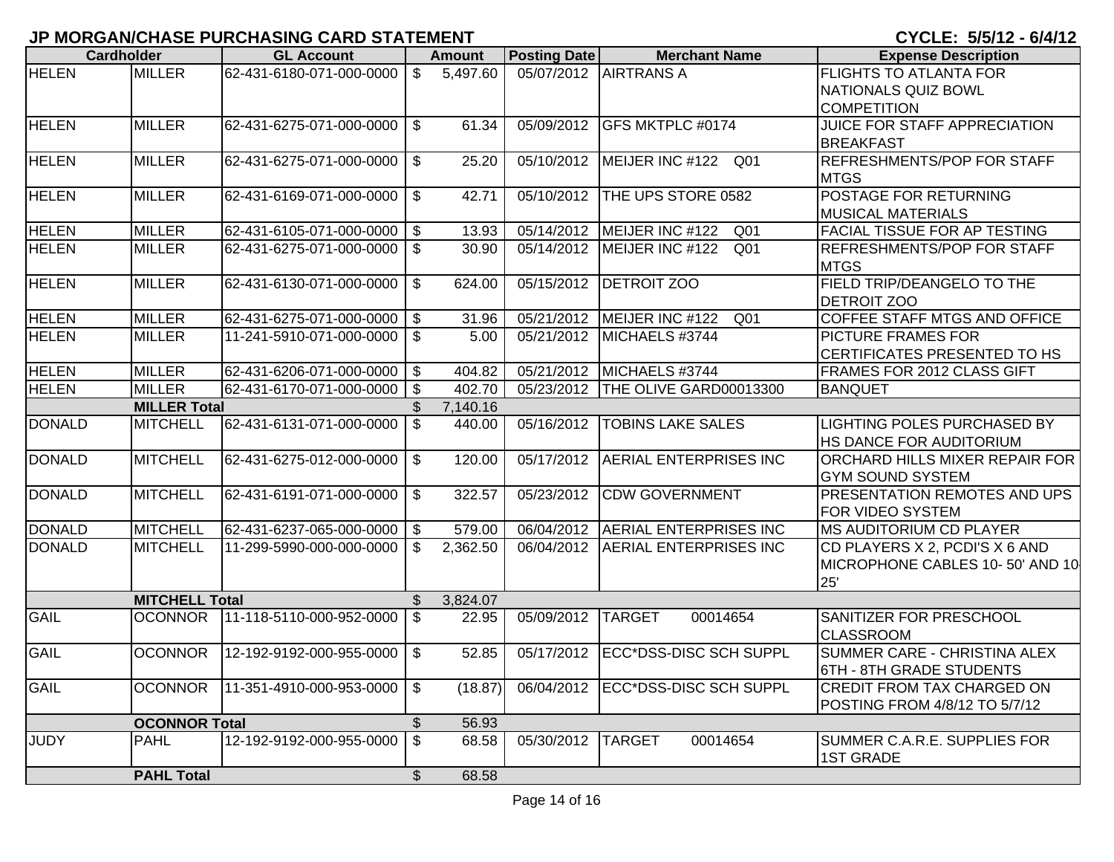|                       | <b>Cardholder</b>    | <b>GL Account</b>           |                           | Amount                  | Posting Date            | <b>Merchant Name</b>               | <b>Expense Description</b>                                               |
|-----------------------|----------------------|-----------------------------|---------------------------|-------------------------|-------------------------|------------------------------------|--------------------------------------------------------------------------|
| <b>HELEN</b>          | <b>MILLER</b>        | 62-431-6180-071-000-0000    | $\mathbb{S}$              | 5,497.60                |                         | 05/07/2012 AIRTRANS A              | <b>FLIGHTS TO ATLANTA FOR</b><br><b>NATIONALS QUIZ BOWL</b>              |
|                       |                      |                             |                           |                         |                         |                                    | <b>COMPETITION</b>                                                       |
| <b>HELEN</b>          | <b>MILLER</b>        | 62-431-6275-071-000-0000    | \$                        | 61.34                   | 05/09/2012              | <b>GFS MKTPLC #0174</b>            | JUICE FOR STAFF APPRECIATION                                             |
|                       |                      |                             |                           |                         |                         |                                    | <b>BREAKFAST</b>                                                         |
| <b>HELEN</b>          | <b>MILLER</b>        | 62-431-6275-071-000-0000    | $\mathfrak{S}$            | 25.20                   | 05/10/2012              | MEIJER INC #122 Q01                | <b>REFRESHMENTS/POP FOR STAFF</b>                                        |
|                       |                      |                             |                           |                         |                         |                                    | <b>MTGS</b>                                                              |
| <b>HELEN</b>          | <b>MILLER</b>        | 62-431-6169-071-000-0000    | \$                        | 42.71                   | 05/10/2012              | THE UPS STORE 0582                 | <b>POSTAGE FOR RETURNING</b>                                             |
|                       |                      |                             |                           |                         |                         |                                    | <b>MUSICAL MATERIALS</b>                                                 |
| <b>HELEN</b>          | <b>MILLER</b>        | 62-431-6105-071-000-0000    | $\overline{\mathbf{3}}$   | 13.93                   | 05/14/2012              | MEIJER INC #122<br>Q <sub>01</sub> | <b>FACIAL TISSUE FOR AP TESTING</b>                                      |
| <b>HELEN</b>          | <b>MILLER</b>        | 62-431-6275-071-000-0000    | \$                        | 30.90                   | 05/14/2012              | MEIJER INC #122<br>Q <sub>01</sub> | <b>REFRESHMENTS/POP FOR STAFF</b><br><b>MTGS</b>                         |
| <b>HELEN</b>          | <b>MILLER</b>        | 62-431-6130-071-000-0000    | \$                        | 624.00                  | 05/15/2012              | <b>DETROIT ZOO</b>                 | FIELD TRIP/DEANGELO TO THE                                               |
|                       |                      |                             |                           |                         |                         |                                    | <b>DETROIT ZOO</b>                                                       |
| <b>HELEN</b>          | <b>MILLER</b>        | 62-431-6275-071-000-0000 \$ |                           | 31.96                   | $\overline{05/21}/2012$ | MEIJER INC #122<br>Q <sub>01</sub> | COFFEE STAFF MTGS AND OFFICE                                             |
| <b>HELEN</b>          | <b>MILLER</b>        | 11-241-5910-071-000-0000    | $\mathfrak{S}$            | 5.00                    | 05/21/2012              | MICHAELS #3744                     | <b>PICTURE FRAMES FOR</b>                                                |
|                       |                      |                             |                           |                         |                         |                                    | <b>CERTIFICATES PRESENTED TO HS</b>                                      |
| <b>HELEN</b>          | <b>MILLER</b>        | 62-431-6206-071-000-0000    | \$                        | 404.82                  | 05/21/2012              | MICHAELS #3744                     | FRAMES FOR 2012 CLASS GIFT                                               |
| <b>HELEN</b>          | <b>MILLER</b>        | 62-431-6170-071-000-0000    | $\boldsymbol{\mathsf{s}}$ | 402.70                  | 05/23/2012              | THE OLIVE GARD00013300             | <b>BANQUET</b>                                                           |
|                       | <b>MILLER Total</b>  | 62-431-6131-071-000-0000    | \$                        | 7,140.16                |                         |                                    | <b>LIGHTING POLES PURCHASED BY</b>                                       |
| <b>DONALD</b>         | <b>MITCHELL</b>      |                             | $\mathfrak{S}$            | 440.00                  | 05/16/2012              | <b>TOBINS LAKE SALES</b>           | HS DANCE FOR AUDITORIUM                                                  |
| <b>DONALD</b>         | <b>MITCHELL</b>      | 62-431-6275-012-000-0000    | \$                        | 120.00                  | 05/17/2012              | <b>AERIAL ENTERPRISES INC</b>      | ORCHARD HILLS MIXER REPAIR FOR<br><b>GYM SOUND SYSTEM</b>                |
| <b>DONALD</b>         | <b>MITCHELL</b>      | 62-431-6191-071-000-0000    | \$                        | 322.57                  | 05/23/2012              | <b>CDW GOVERNMENT</b>              | PRESENTATION REMOTES AND UPS                                             |
|                       |                      |                             |                           |                         |                         |                                    | FOR VIDEO SYSTEM                                                         |
| <b>DONALD</b>         | <b>MITCHELL</b>      | 62-431-6237-065-000-0000    | \$                        | 579.00                  | 06/04/2012              | <b>AERIAL ENTERPRISES INC</b>      | <b>MS AUDITORIUM CD PLAYER</b>                                           |
| <b>DONALD</b>         | <b>MITCHELL</b>      | 11-299-5990-000-000-0000    | \$                        | $\overline{2}$ , 362.50 | 06/04/2012              | <b>AERIAL ENTERPRISES INC</b>      | CD PLAYERS X 2, PCDI'S X 6 AND<br>MICROPHONE CABLES 10-50' AND 10<br>25' |
| <b>MITCHELL Total</b> |                      |                             | $\mathbb{S}$              | 3,824.07                |                         |                                    |                                                                          |
| <b>GAIL</b>           | <b>OCONNOR</b>       | 11-118-5110-000-952-0000    | $\mathfrak{L}$            | 22.95                   | 05/09/2012              | <b>TARGET</b><br>00014654          | SANITIZER FOR PRESCHOOL<br><b>CLASSROOM</b>                              |
| <b>GAIL</b>           | <b>OCONNOR</b>       | 12-192-9192-000-955-0000    | $\mathfrak{L}$            | 52.85                   | 05/17/2012              | ECC*DSS-DISC SCH SUPPL             | SUMMER CARE - CHRISTINA ALEX<br>6TH - 8TH GRADE STUDENTS                 |
| <b>GAIL</b>           | <b>OCONNOR</b>       | 11-351-4910-000-953-0000    | $\mathfrak{S}$            | (18.87)                 | 06/04/2012              | ECC*DSS-DISC SCH SUPPL             | <b>CREDIT FROM TAX CHARGED ON</b>                                        |
|                       |                      |                             |                           |                         |                         |                                    | POSTING FROM 4/8/12 TO 5/7/12                                            |
|                       | <b>OCONNOR Total</b> |                             | \$                        | 56.93                   |                         |                                    |                                                                          |
| <b>JUDY</b>           | <b>PAHL</b>          | 12-192-9192-000-955-0000    | $\$\$                     | 68.58                   | 05/30/2012              | <b>TARGET</b><br>00014654          | SUMMER C.A.R.E. SUPPLIES FOR<br><b>1ST GRADE</b>                         |
|                       | <b>PAHL Total</b>    |                             | $\mathcal{L}$             | 68.58                   |                         |                                    |                                                                          |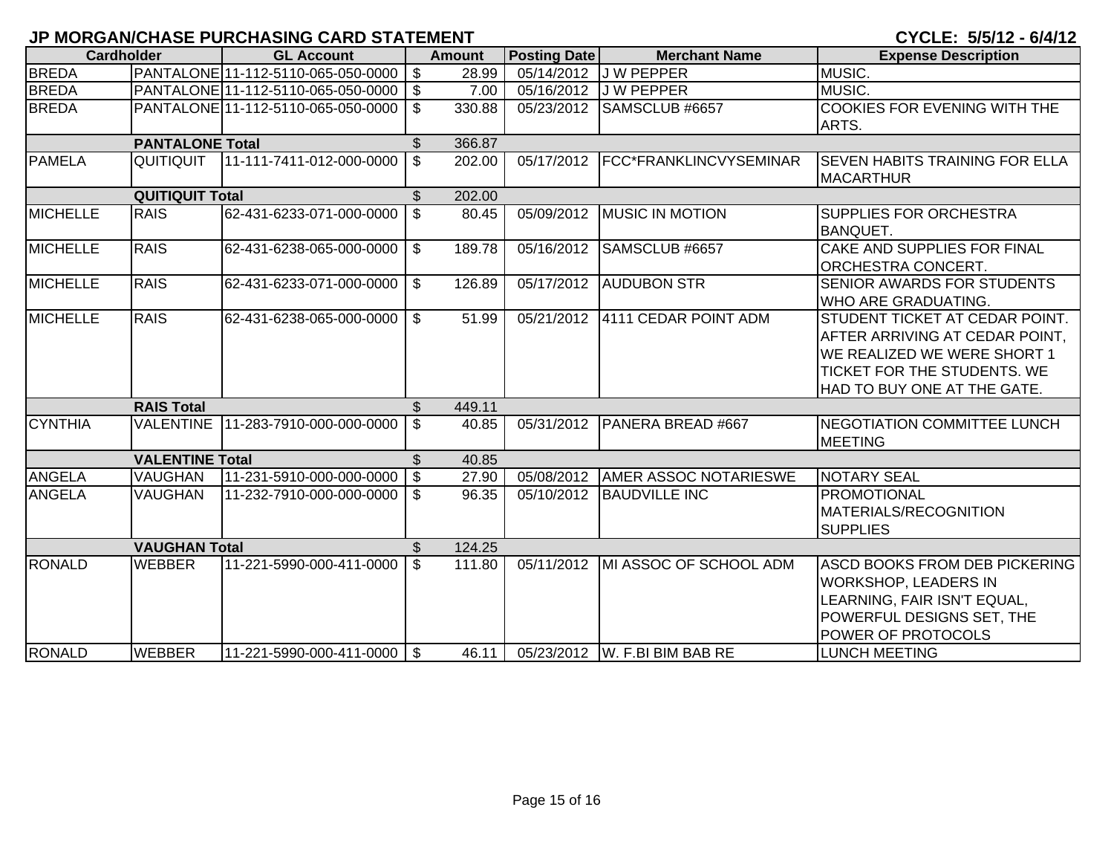| <b>Cardholder</b>    |                        | <b>GL Account</b>                     |                 | <b>Amount</b> | <b>Posting Date</b> | <b>Merchant Name</b>          | <b>Expense Description</b>             |
|----------------------|------------------------|---------------------------------------|-----------------|---------------|---------------------|-------------------------------|----------------------------------------|
| <b>BREDA</b>         |                        | PANTALONE 11-112-5110-065-050-0000 \$ |                 | 28.99         |                     | 05/14/2012 J W PEPPER         | MUSIC.                                 |
| <b>BREDA</b>         |                        | PANTALONE 11-112-5110-065-050-0000 \$ |                 | 7.00          | 05/16/2012          | <b>JW PEPPER</b>              | MUSIC.                                 |
| <b>BREDA</b>         |                        | PANTALONE 11-112-5110-065-050-0000    | \$              | 330.88        | 05/23/2012          | SAMSCLUB #6657                | <b>COOKIES FOR EVENING WITH THE</b>    |
|                      |                        |                                       |                 |               |                     |                               | ARTS.                                  |
|                      | <b>PANTALONE Total</b> |                                       | \$              | 366.87        |                     |                               |                                        |
| <b>PAMELA</b>        | QUITIQUIT              | 11-111-7411-012-000-0000              | $\mathfrak{L}$  | 202.00        | 05/17/2012          | FCC*FRANKLINCVYSEMINAR        | <b>ISEVEN HABITS TRAINING FOR ELLA</b> |
|                      |                        |                                       |                 |               |                     |                               | <b>MACARTHUR</b>                       |
|                      | <b>QUITIQUIT Total</b> |                                       | $\mathfrak{S}$  | 202.00        |                     |                               |                                        |
| <b>MICHELLE</b>      | <b>RAIS</b>            | 62-431-6233-071-000-0000              | \$              | 80.45         | 05/09/2012          | <b>MUSIC IN MOTION</b>        | SUPPLIES FOR ORCHESTRA                 |
|                      |                        |                                       |                 |               |                     |                               | <b>BANQUET.</b>                        |
| <b>MICHELLE</b>      | <b>RAIS</b>            | 62-431-6238-065-000-0000              | \$              | 189.78        | 05/16/2012          | SAMSCLUB #6657                | CAKE AND SUPPLIES FOR FINAL            |
|                      |                        |                                       |                 |               |                     |                               | ORCHESTRA CONCERT.                     |
| <b>MICHELLE</b>      | <b>RAIS</b>            | 62-431-6233-071-000-0000              | \$              | 126.89        | 05/17/2012          | <b>AUDUBON STR</b>            | SENIOR AWARDS FOR STUDENTS             |
|                      |                        |                                       |                 |               |                     |                               | WHO ARE GRADUATING.                    |
| <b>MICHELLE</b>      | <b>RAIS</b>            | 62-431-6238-065-000-0000              | $\mathfrak{S}$  | 51.99         | 05/21/2012          | 4111 CEDAR POINT ADM          | STUDENT TICKET AT CEDAR POINT.         |
|                      |                        |                                       |                 |               |                     |                               | AFTER ARRIVING AT CEDAR POINT,         |
|                      |                        |                                       |                 |               |                     |                               | WE REALIZED WE WERE SHORT 1            |
|                      |                        |                                       |                 |               |                     |                               | <b>TICKET FOR THE STUDENTS. WE</b>     |
|                      |                        |                                       |                 |               |                     |                               | HAD TO BUY ONE AT THE GATE.            |
|                      | <b>RAIS Total</b>      |                                       |                 | 449.11        |                     |                               |                                        |
| <b>CYNTHIA</b>       | <b>VALENTINE</b>       | 11-283-7910-000-000-0000              | $\mathfrak{S}$  | 40.85         | 05/31/2012          | PANERA BREAD #667             | NEGOTIATION COMMITTEE LUNCH            |
|                      |                        |                                       |                 |               |                     |                               | <b>MEETING</b>                         |
|                      | <b>VALENTINE Total</b> |                                       | $\mathfrak{S}$  | 40.85         |                     |                               |                                        |
| <b>ANGELA</b>        | <b>VAUGHAN</b>         | 11-231-5910-000-000-0000              | $\overline{1s}$ | 27.90         | 05/08/2012          | <b>AMER ASSOC NOTARIESWE</b>  | <b>NOTARY SEAL</b>                     |
| <b>ANGELA</b>        | <b>VAUGHAN</b>         | 11-232-7910-000-000-0000              | - \$            | 96.35         | 05/10/2012          | <b>BAUDVILLE INC</b>          | <b>PROMOTIONAL</b>                     |
|                      |                        |                                       |                 |               |                     |                               | <b>MATERIALS/RECOGNITION</b>           |
|                      |                        |                                       |                 |               |                     |                               | <b>SUPPLIES</b>                        |
| <b>VAUGHAN Total</b> |                        |                                       |                 | 124.25        |                     |                               |                                        |
| <b>RONALD</b>        | <b>WEBBER</b>          | 11-221-5990-000-411-0000              | \$              | 111.80        | 05/11/2012          | MI ASSOC OF SCHOOL ADM        | <b>ASCD BOOKS FROM DEB PICKERING</b>   |
|                      |                        |                                       |                 |               |                     |                               | <b>WORKSHOP, LEADERS IN</b>            |
|                      |                        |                                       |                 |               |                     |                               | LEARNING, FAIR ISN'T EQUAL,            |
|                      |                        |                                       |                 |               |                     |                               | POWERFUL DESIGNS SET, THE              |
|                      |                        |                                       |                 |               |                     |                               | POWER OF PROTOCOLS                     |
| <b>RONALD</b>        | <b>WEBBER</b>          | 11-221-5990-000-411-0000 \\$          |                 | 46.11         |                     | 05/23/2012 W. F.BI BIM BAB RE | <b>LUNCH MEETING</b>                   |